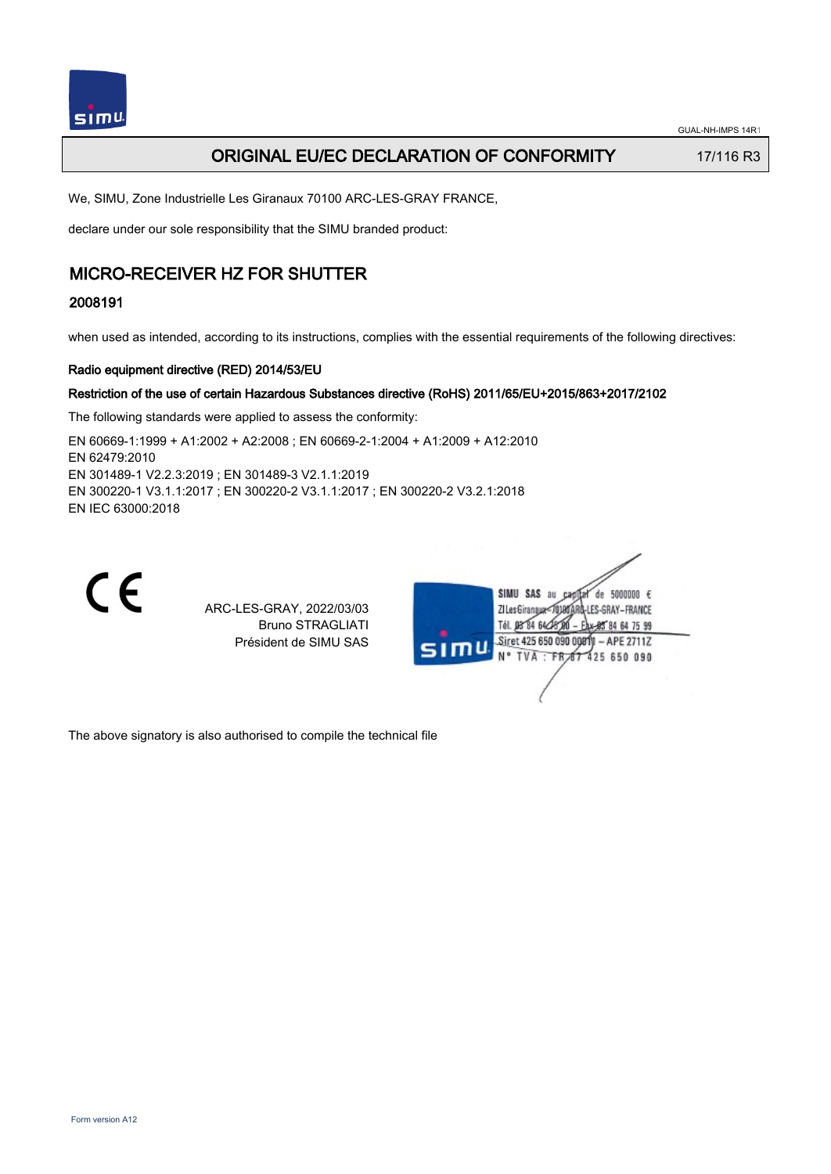

## ORIGINAL EU/EC DECLARATION OF CONFORMITY 17/116 R3

We, SIMU, Zone Industrielle Les Giranaux 70100 ARC-LES-GRAY FRANCE,

declare under our sole responsibility that the SIMU branded product:

## MICRO-RECEIVER HZ FOR SHUTTER

#### 2008191

when used as intended, according to its instructions, complies with the essential requirements of the following directives:

#### Radio equipment directive (RED) 2014/53/EU

#### Restriction of the use of certain Hazardous Substances directive (RoHS) 2011/65/EU+2015/863+2017/2102

The following standards were applied to assess the conformity:

EN 60669‑1:1999 + A1:2002 + A2:2008 ; EN 60669‑2‑1:2004 + A1:2009 + A12:2010 EN 62479:2010 EN 301489‑1 V2.2.3:2019 ; EN 301489‑3 V2.1.1:2019 EN 300220‑1 V3.1.1:2017 ; EN 300220‑2 V3.1.1:2017 ; EN 300220‑2 V3.2.1:2018 EN IEC 63000:2018



ARC-LES-GRAY, 2022/03/03 Bruno STRAGLIATI Président de SIMU SAS



The above signatory is also authorised to compile the technical file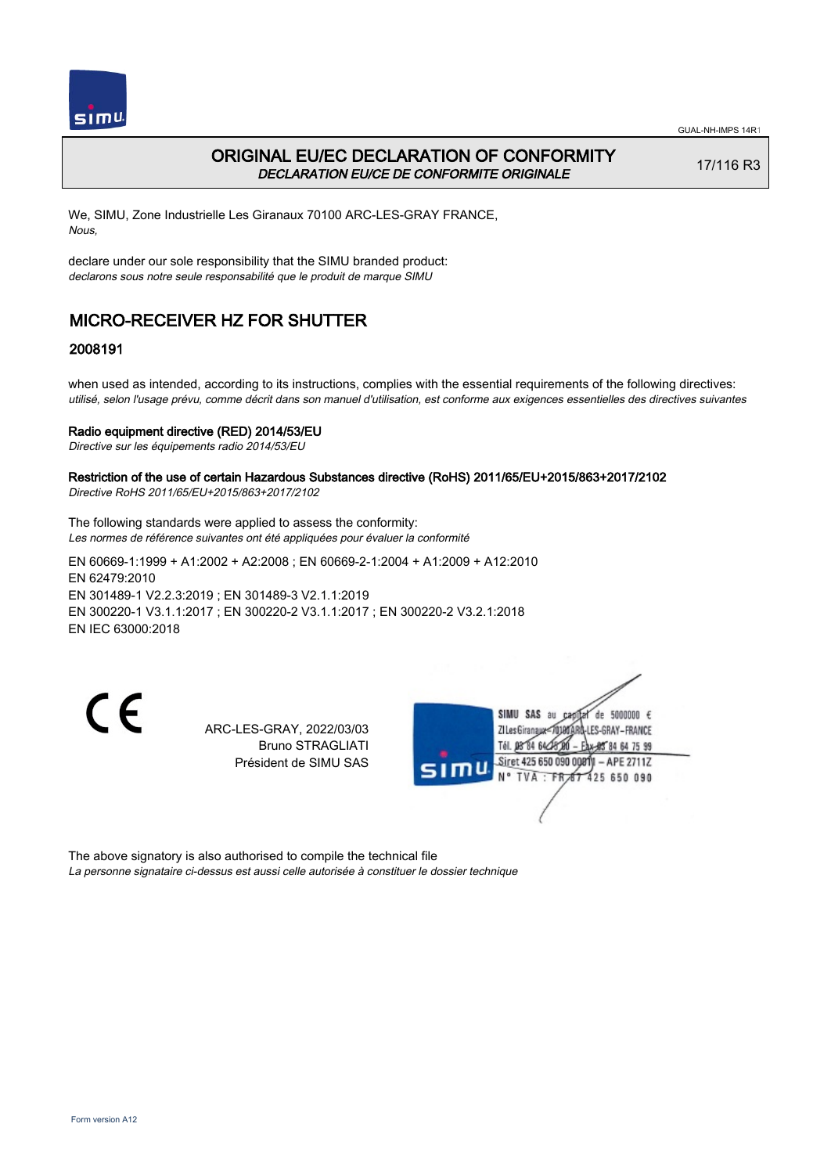

## ORIGINAL EU/EC DECLARATION OF CONFORMITY DECLARATION EU/CE DE CONFORMITE ORIGINALE

17/116 R3

We, SIMU, Zone Industrielle Les Giranaux 70100 ARC-LES-GRAY FRANCE, Nous,

declare under our sole responsibility that the SIMU branded product: declarons sous notre seule responsabilité que le produit de marque SIMU

# MICRO-RECEIVER HZ FOR SHUTTER

#### 2008191

when used as intended, according to its instructions, complies with the essential requirements of the following directives: utilisé, selon l'usage prévu, comme décrit dans son manuel d'utilisation, est conforme aux exigences essentielles des directives suivantes

#### Radio equipment directive (RED) 2014/53/EU

Directive sur les équipements radio 2014/53/EU

#### Restriction of the use of certain Hazardous Substances directive (RoHS) 2011/65/EU+2015/863+2017/2102 Directive RoHS 2011/65/EU+2015/863+2017/2102

The following standards were applied to assess the conformity: Les normes de référence suivantes ont été appliquées pour évaluer la conformité

EN 60669‑1:1999 + A1:2002 + A2:2008 ; EN 60669‑2‑1:2004 + A1:2009 + A12:2010 EN 62479:2010 EN 301489‑1 V2.2.3:2019 ; EN 301489‑3 V2.1.1:2019 EN 300220‑1 V3.1.1:2017 ; EN 300220‑2 V3.1.1:2017 ; EN 300220‑2 V3.2.1:2018 EN IEC 63000:2018

C E

ARC-LES-GRAY, 2022/03/03 Bruno STRAGLIATI Président de SIMU SAS



The above signatory is also authorised to compile the technical file La personne signataire ci-dessus est aussi celle autorisée à constituer le dossier technique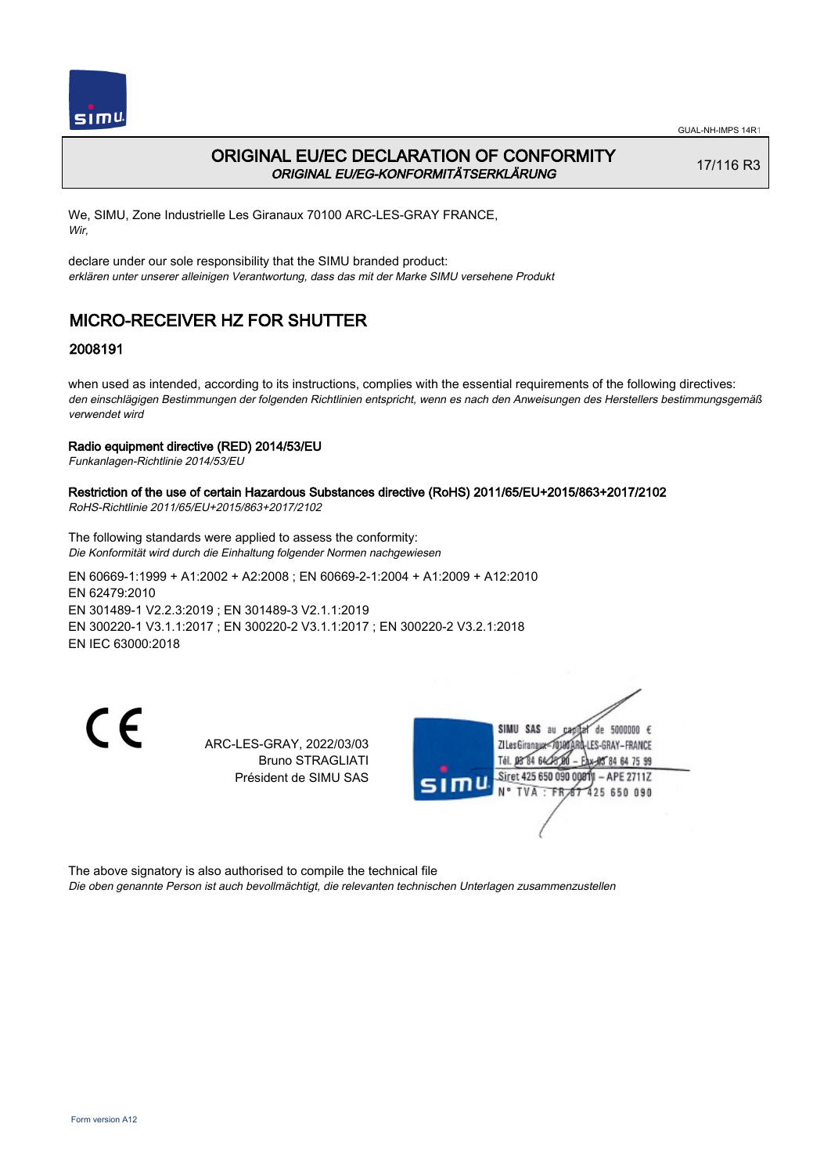

## ORIGINAL EU/EC DECLARATION OF CONFORMITY ORIGINAL EU/EG-KONFORMITÄTSERKLÄRUNG

17/116 R3

We, SIMU, Zone Industrielle Les Giranaux 70100 ARC-LES-GRAY FRANCE, Wir,

declare under our sole responsibility that the SIMU branded product: erklären unter unserer alleinigen Verantwortung, dass das mit der Marke SIMU versehene Produkt

# MICRO-RECEIVER HZ FOR SHUTTER

### 2008191

when used as intended, according to its instructions, complies with the essential requirements of the following directives: den einschlägigen Bestimmungen der folgenden Richtlinien entspricht, wenn es nach den Anweisungen des Herstellers bestimmungsgemäß verwendet wird

#### Radio equipment directive (RED) 2014/53/EU

Funkanlagen-Richtlinie 2014/53/EU

#### Restriction of the use of certain Hazardous Substances directive (RoHS) 2011/65/EU+2015/863+2017/2102 RoHS-Richtlinie 2011/65/EU+2015/863+2017/2102

The following standards were applied to assess the conformity: Die Konformität wird durch die Einhaltung folgender Normen nachgewiesen

EN 60669‑1:1999 + A1:2002 + A2:2008 ; EN 60669‑2‑1:2004 + A1:2009 + A12:2010 EN 62479:2010 EN 301489‑1 V2.2.3:2019 ; EN 301489‑3 V2.1.1:2019 EN 300220‑1 V3.1.1:2017 ; EN 300220‑2 V3.1.1:2017 ; EN 300220‑2 V3.2.1:2018 EN IEC 63000:2018

 $\epsilon$ 

ARC-LES-GRAY, 2022/03/03 Bruno STRAGLIATI Président de SIMU SAS



The above signatory is also authorised to compile the technical file Die oben genannte Person ist auch bevollmächtigt, die relevanten technischen Unterlagen zusammenzustellen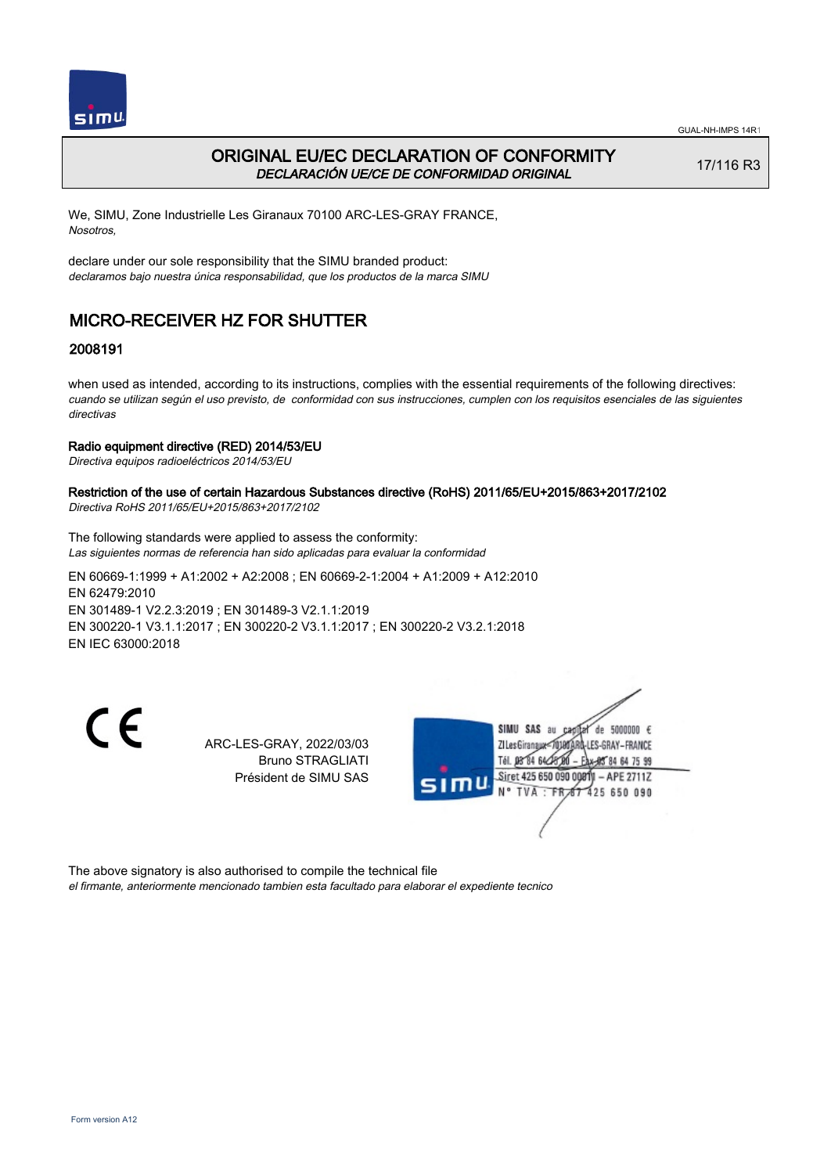

### ORIGINAL EU/EC DECLARATION OF CONFORMITY DECLARACIÓN UE/CE DE CONFORMIDAD ORIGINAL

17/116 R3

We, SIMU, Zone Industrielle Les Giranaux 70100 ARC-LES-GRAY FRANCE, Nosotros,

declare under our sole responsibility that the SIMU branded product: declaramos bajo nuestra única responsabilidad, que los productos de la marca SIMU

# MICRO-RECEIVER HZ FOR SHUTTER

### 2008191

when used as intended, according to its instructions, complies with the essential requirements of the following directives: cuando se utilizan según el uso previsto, de conformidad con sus instrucciones, cumplen con los requisitos esenciales de las siguientes directivas

#### Radio equipment directive (RED) 2014/53/EU

Directiva equipos radioeléctricos 2014/53/EU

## Restriction of the use of certain Hazardous Substances directive (RoHS) 2011/65/EU+2015/863+2017/2102

Directiva RoHS 2011/65/EU+2015/863+2017/2102

The following standards were applied to assess the conformity: Las siguientes normas de referencia han sido aplicadas para evaluar la conformidad

EN 60669‑1:1999 + A1:2002 + A2:2008 ; EN 60669‑2‑1:2004 + A1:2009 + A12:2010 EN 62479:2010 EN 301489‑1 V2.2.3:2019 ; EN 301489‑3 V2.1.1:2019 EN 300220‑1 V3.1.1:2017 ; EN 300220‑2 V3.1.1:2017 ; EN 300220‑2 V3.2.1:2018 EN IEC 63000:2018

 $\epsilon$ 

ARC-LES-GRAY, 2022/03/03 Bruno STRAGLIATI Président de SIMU SAS



The above signatory is also authorised to compile the technical file el firmante, anteriormente mencionado tambien esta facultado para elaborar el expediente tecnico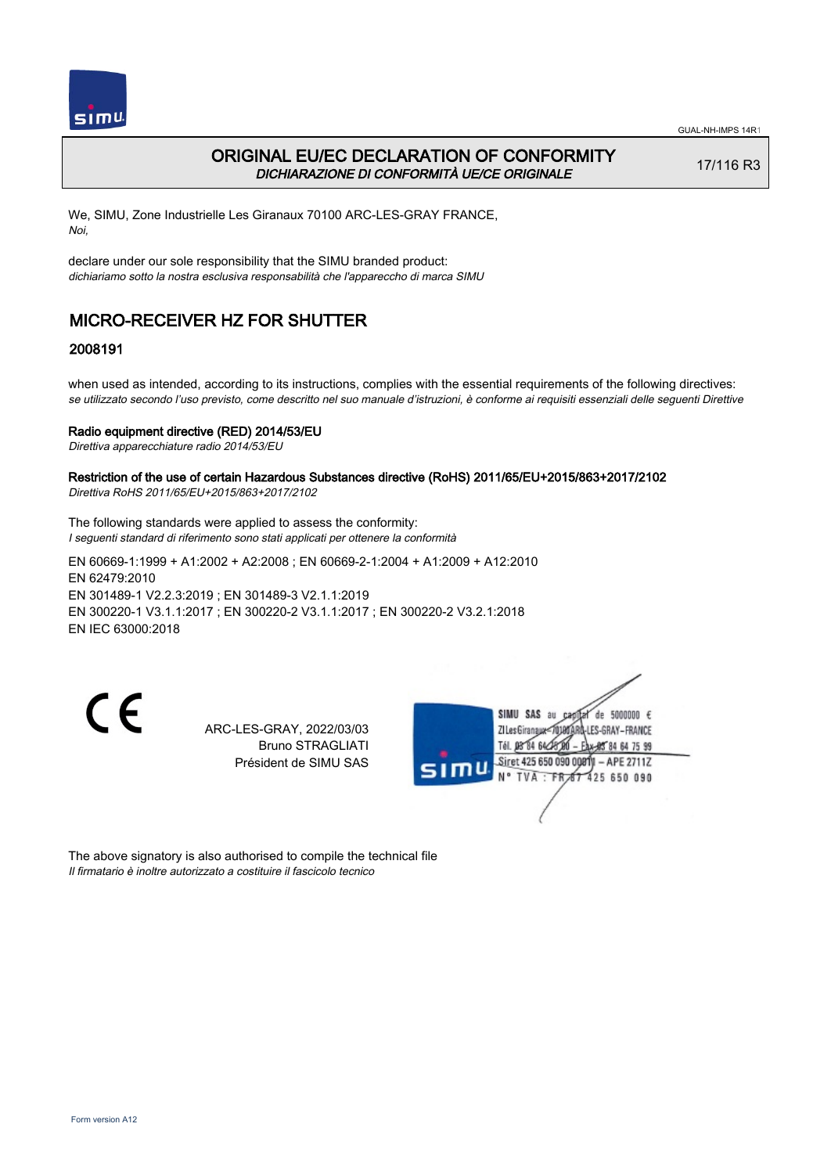

## ORIGINAL EU/EC DECLARATION OF CONFORMITY DICHIARAZIONE DI CONFORMITÀ UE/CE ORIGINALE

17/116 R3

We, SIMU, Zone Industrielle Les Giranaux 70100 ARC-LES-GRAY FRANCE, Noi,

declare under our sole responsibility that the SIMU branded product: dichiariamo sotto la nostra esclusiva responsabilità che l'appareccho di marca SIMU

# MICRO-RECEIVER HZ FOR SHUTTER

### 2008191

when used as intended, according to its instructions, complies with the essential requirements of the following directives: se utilizzato secondo l'uso previsto, come descritto nel suo manuale d'istruzioni, è conforme ai requisiti essenziali delle seguenti Direttive

#### Radio equipment directive (RED) 2014/53/EU

Direttiva apparecchiature radio 2014/53/EU

#### Restriction of the use of certain Hazardous Substances directive (RoHS) 2011/65/EU+2015/863+2017/2102 Direttiva RoHS 2011/65/EU+2015/863+2017/2102

The following standards were applied to assess the conformity: I seguenti standard di riferimento sono stati applicati per ottenere la conformità

EN 60669‑1:1999 + A1:2002 + A2:2008 ; EN 60669‑2‑1:2004 + A1:2009 + A12:2010 EN 62479:2010 EN 301489‑1 V2.2.3:2019 ; EN 301489‑3 V2.1.1:2019 EN 300220‑1 V3.1.1:2017 ; EN 300220‑2 V3.1.1:2017 ; EN 300220‑2 V3.2.1:2018 EN IEC 63000:2018

 $\epsilon$ 

ARC-LES-GRAY, 2022/03/03 Bruno STRAGLIATI Président de SIMU SAS



The above signatory is also authorised to compile the technical file Il firmatario è inoltre autorizzato a costituire il fascicolo tecnico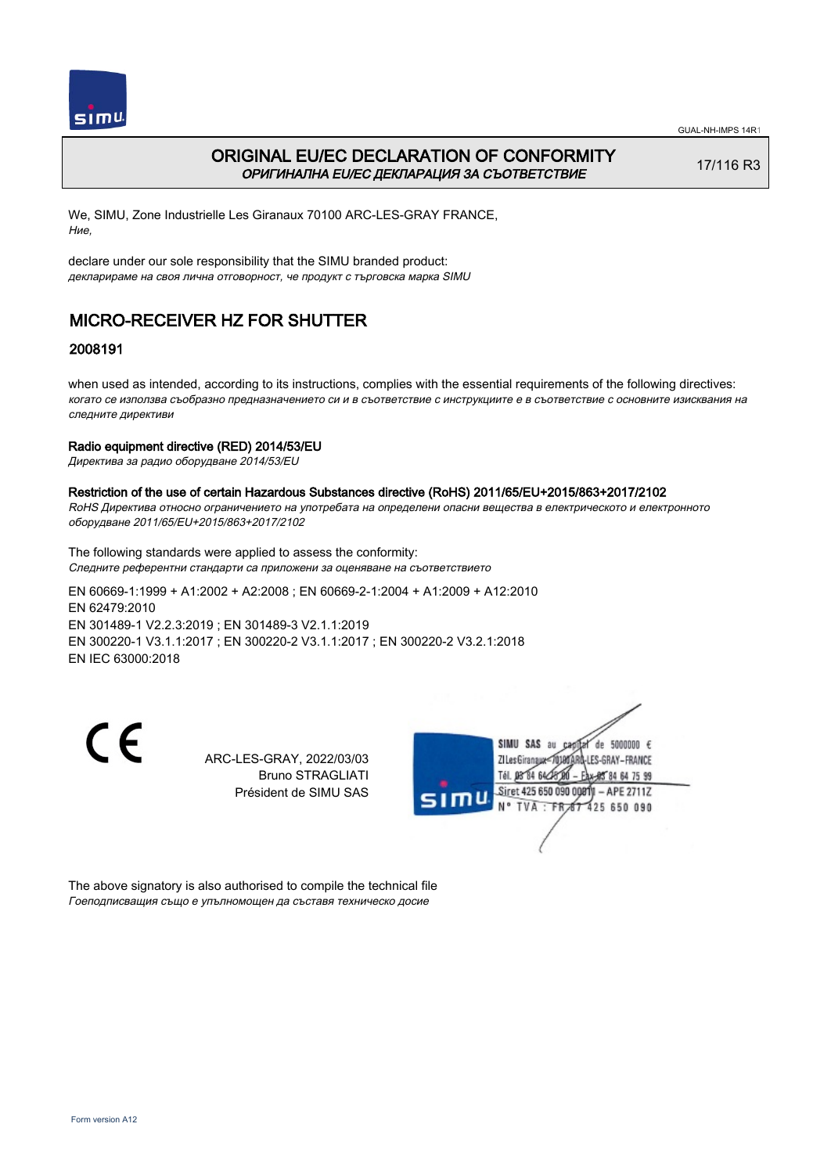

## ORIGINAL EU/EC DECLARATION OF CONFORMITY ОРИГИНАЛНА EU/EC ДЕКЛАРАЦИЯ ЗА СЪОТВЕТСТВИЕ

17/116 R3

We, SIMU, Zone Industrielle Les Giranaux 70100 ARC-LES-GRAY FRANCE, Ние,

declare under our sole responsibility that the SIMU branded product: декларираме на своя лична отговорност, че продукт с търговска марка SIMU

# MICRO-RECEIVER HZ FOR SHUTTER

### 2008191

when used as intended, according to its instructions, complies with the essential requirements of the following directives: когато се използва съобразно предназначението си и в съответствие с инструкциите е в съответствие с основните изисквания на следните директиви

#### Radio equipment directive (RED) 2014/53/EU

Директива за радио оборудване 2014/53/EU

#### Restriction of the use of certain Hazardous Substances directive (RoHS) 2011/65/EU+2015/863+2017/2102

RoHS Директива относно ограничението на употребата на определени опасни вещества в електрическото и електронното оборудване 2011/65/EU+2015/863+2017/2102

The following standards were applied to assess the conformity: Следните референтни стандарти са приложени за оценяване на съответствието

EN 60669‑1:1999 + A1:2002 + A2:2008 ; EN 60669‑2‑1:2004 + A1:2009 + A12:2010 EN 62479:2010 EN 301489‑1 V2.2.3:2019 ; EN 301489‑3 V2.1.1:2019 EN 300220‑1 V3.1.1:2017 ; EN 300220‑2 V3.1.1:2017 ; EN 300220‑2 V3.2.1:2018 EN IEC 63000:2018

 $\epsilon$ 

ARC-LES-GRAY, 2022/03/03 Bruno STRAGLIATI Président de SIMU SAS



The above signatory is also authorised to compile the technical file Гоеподписващия също е упълномощен да съставя техническо досие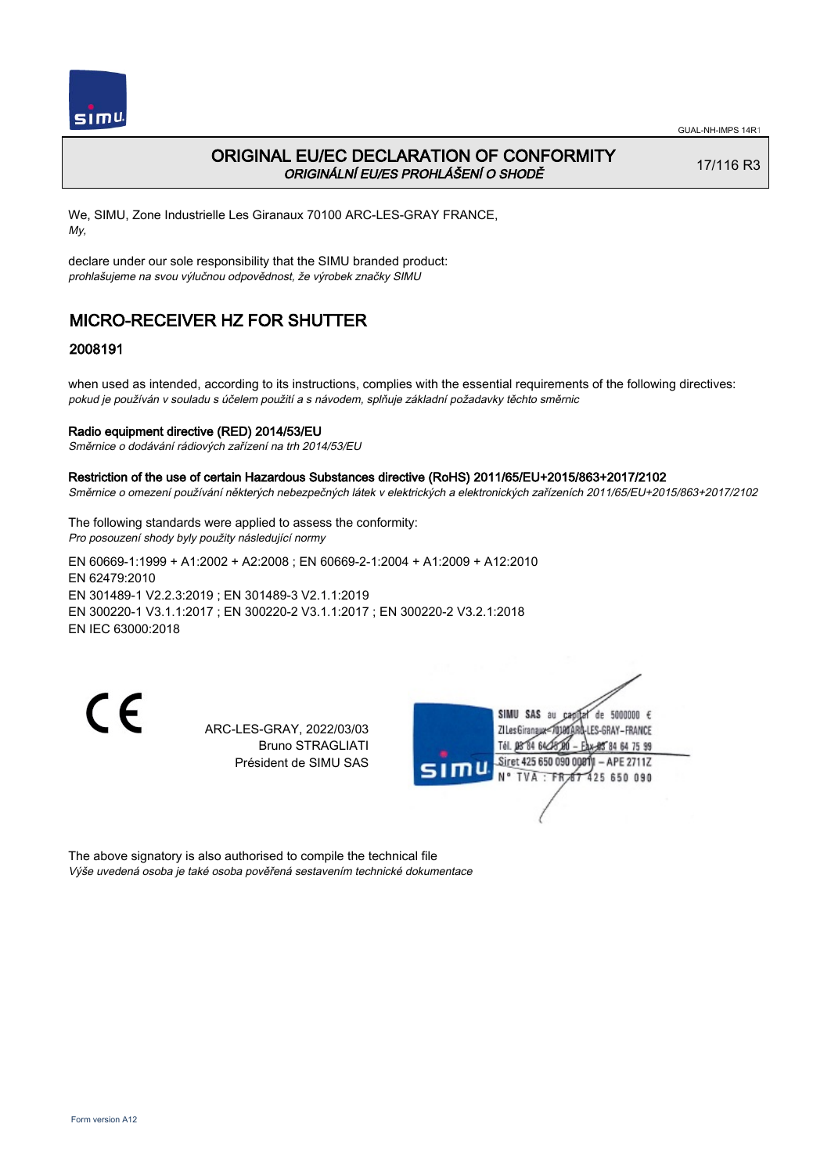

## ORIGINAL EU/EC DECLARATION OF CONFORMITY ORIGINÁLNÍ EU/ES PROHLÁŠENÍ O SHODĚ

17/116 R3

We, SIMU, Zone Industrielle Les Giranaux 70100 ARC-LES-GRAY FRANCE, My,

declare under our sole responsibility that the SIMU branded product: prohlašujeme na svou výlučnou odpovědnost, že výrobek značky SIMU

# MICRO-RECEIVER HZ FOR SHUTTER

## 2008191

when used as intended, according to its instructions, complies with the essential requirements of the following directives: pokud je používán v souladu s účelem použití a s návodem, splňuje základní požadavky těchto směrnic

#### Radio equipment directive (RED) 2014/53/EU

Směrnice o dodávání rádiových zařízení na trh 2014/53/EU

Restriction of the use of certain Hazardous Substances directive (RoHS) 2011/65/EU+2015/863+2017/2102 Směrnice o omezení používání některých nebezpečných látek v elektrických a elektronických zařízeních 2011/65/EU+2015/863+2017/2102

The following standards were applied to assess the conformity: Pro posouzení shody byly použity následující normy EN 60669‑1:1999 + A1:2002 + A2:2008 ; EN 60669‑2‑1:2004 + A1:2009 + A12:2010 EN 62479:2010 EN 301489‑1 V2.2.3:2019 ; EN 301489‑3 V2.1.1:2019 EN 300220‑1 V3.1.1:2017 ; EN 300220‑2 V3.1.1:2017 ; EN 300220‑2 V3.2.1:2018 EN IEC 63000:2018

C E

ARC-LES-GRAY, 2022/03/03 Bruno STRAGLIATI Président de SIMU SAS



The above signatory is also authorised to compile the technical file Výše uvedená osoba je také osoba pověřená sestavením technické dokumentace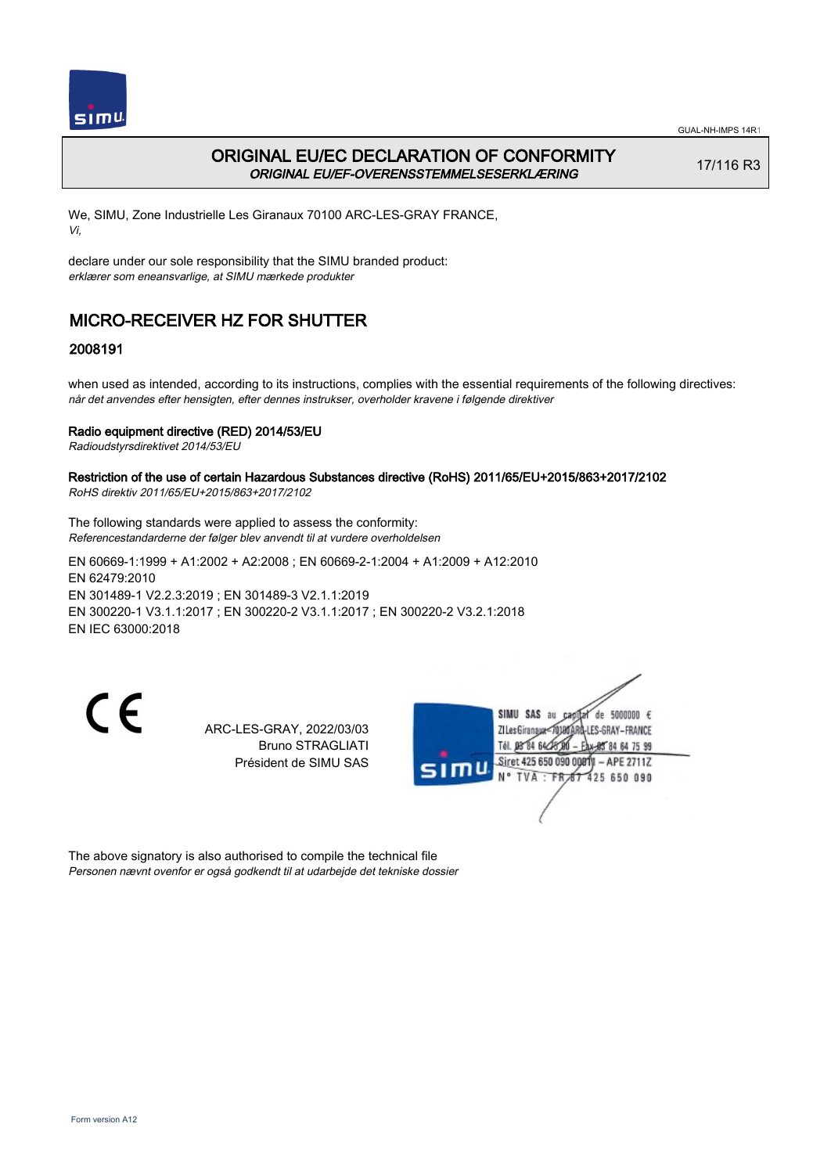

## ORIGINAL EU/EC DECLARATION OF CONFORMITY ORIGINAL EU/EF-OVERENSSTEMMELSESERKLÆRING

17/116 R3

We, SIMU, Zone Industrielle Les Giranaux 70100 ARC-LES-GRAY FRANCE, Vi,

declare under our sole responsibility that the SIMU branded product: erklærer som eneansvarlige, at SIMU mærkede produkter

# MICRO-RECEIVER HZ FOR SHUTTER

### 2008191

when used as intended, according to its instructions, complies with the essential requirements of the following directives: når det anvendes efter hensigten, efter dennes instrukser, overholder kravene i følgende direktiver

#### Radio equipment directive (RED) 2014/53/EU

Radioudstyrsdirektivet 2014/53/EU

#### Restriction of the use of certain Hazardous Substances directive (RoHS) 2011/65/EU+2015/863+2017/2102 RoHS direktiv 2011/65/EU+2015/863+2017/2102

The following standards were applied to assess the conformity: Referencestandarderne der følger blev anvendt til at vurdere overholdelsen

EN 60669‑1:1999 + A1:2002 + A2:2008 ; EN 60669‑2‑1:2004 + A1:2009 + A12:2010 EN 62479:2010 EN 301489‑1 V2.2.3:2019 ; EN 301489‑3 V2.1.1:2019 EN 300220‑1 V3.1.1:2017 ; EN 300220‑2 V3.1.1:2017 ; EN 300220‑2 V3.2.1:2018 EN IEC 63000:2018

 $\epsilon$ 

ARC-LES-GRAY, 2022/03/03 Bruno STRAGLIATI Président de SIMU SAS



The above signatory is also authorised to compile the technical file Personen nævnt ovenfor er også godkendt til at udarbejde det tekniske dossier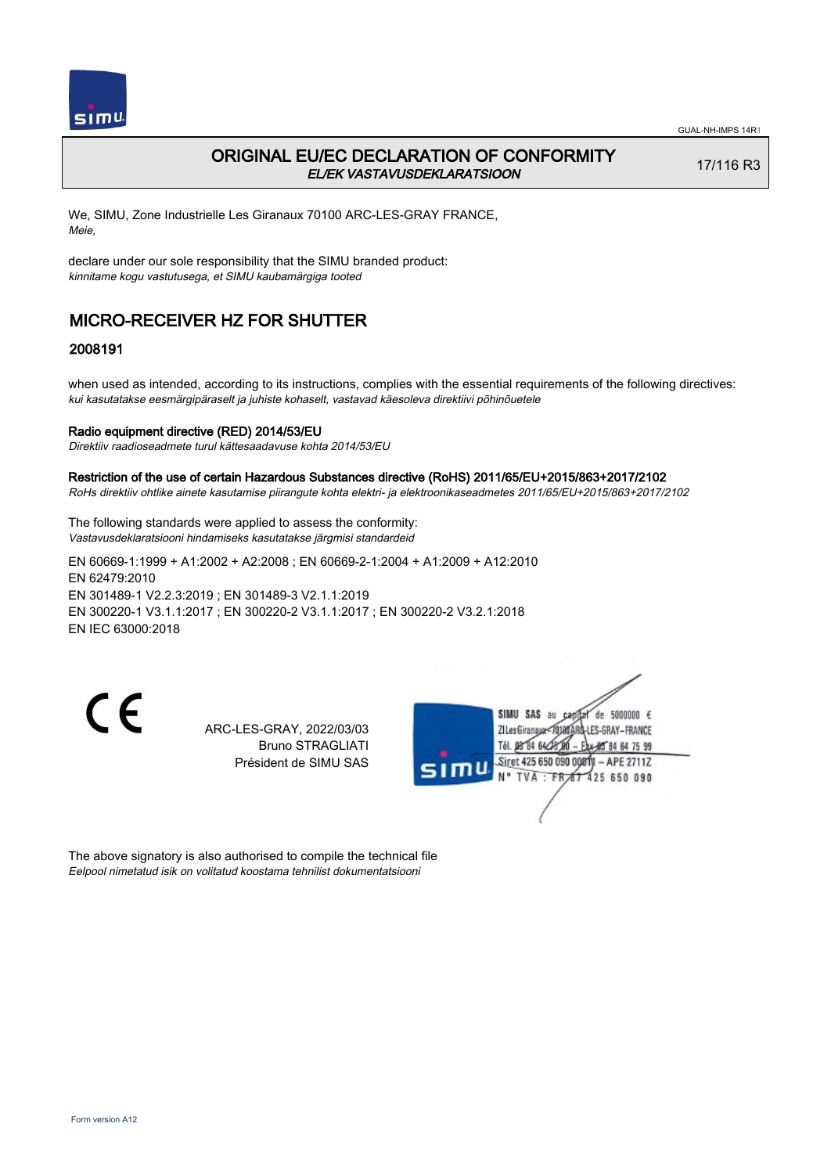

## ORIGINAL EU/EC DECLARATION OF CONFORMITY EL/EK VASTAVUSDEKLARATSIOON

17/116 R3

We, SIMU, Zone Industrielle Les Giranaux 70100 ARC-LES-GRAY FRANCE, Meie,

declare under our sole responsibility that the SIMU branded product: kinnitame kogu vastutusega, et SIMU kaubamärgiga tooted

## MICRO-RECEIVER HZ FOR SHUTTER

#### 2008191

when used as intended, according to its instructions, complies with the essential requirements of the following directives: kui kasutatakse eesmärgipäraselt ja juhiste kohaselt, vastavad käesoleva direktiivi põhinõuetele

#### Radio equipment directive (RED) 2014/53/EU

Direktiiv raadioseadmete turul kättesaadavuse kohta 2014/53/EU

## Restriction of the use of certain Hazardous Substances directive (RoHS) 2011/65/EU+2015/863+2017/2102

RoHs direktiiv ohtlike ainete kasutamise piirangute kohta elektri- ja elektroonikaseadmetes 2011/65/EU+2015/863+2017/2102

The following standards were applied to assess the conformity: Vastavusdeklaratsiooni hindamiseks kasutatakse järgmisi standardeid

EN 60669‑1:1999 + A1:2002 + A2:2008 ; EN 60669‑2‑1:2004 + A1:2009 + A12:2010 EN 62479:2010 EN 301489‑1 V2.2.3:2019 ; EN 301489‑3 V2.1.1:2019 EN 300220‑1 V3.1.1:2017 ; EN 300220‑2 V3.1.1:2017 ; EN 300220‑2 V3.2.1:2018 EN IEC 63000:2018

C E

ARC-LES-GRAY, 2022/03/03 Bruno STRAGLIATI Président de SIMU SAS



The above signatory is also authorised to compile the technical file Eelpool nimetatud isik on volitatud koostama tehnilist dokumentatsiooni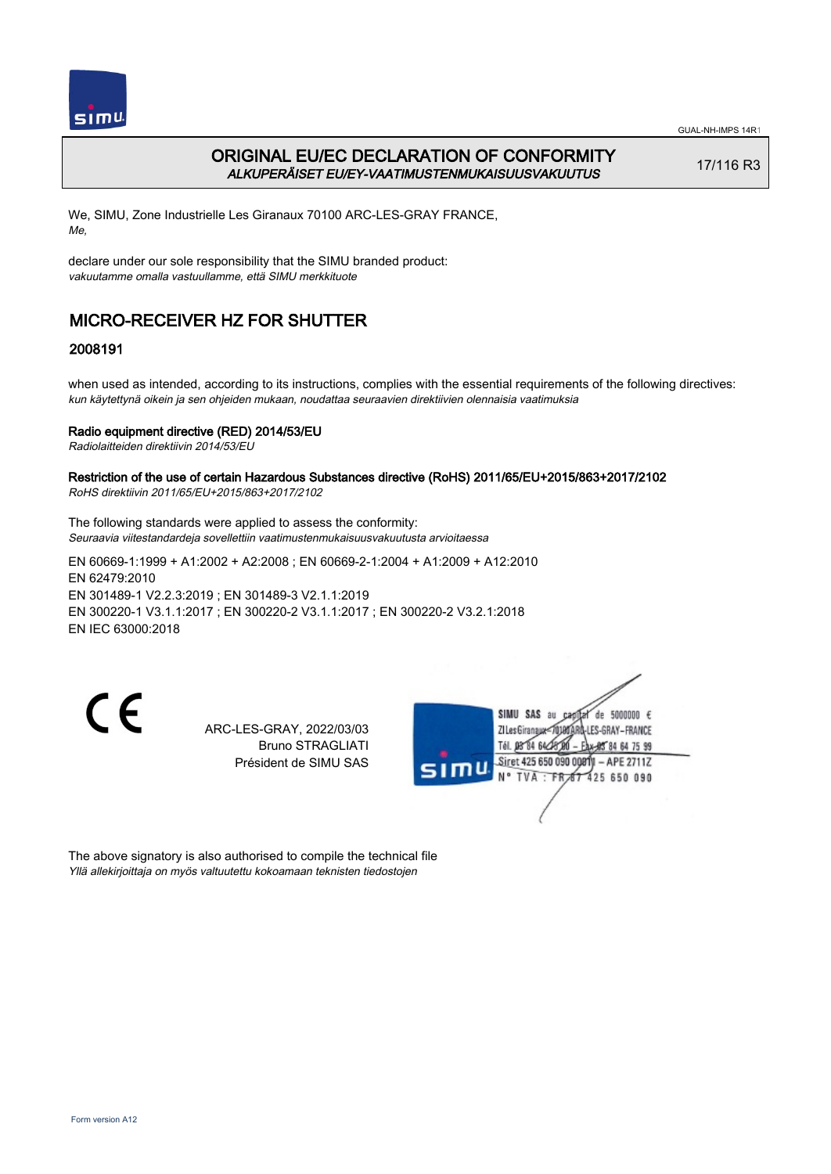

## ORIGINAL EU/EC DECLARATION OF CONFORMITY ALKUPERÄISET EU/EY-VAATIMUSTENMUKAISUUSVAKUUTUS

17/116 R3

We, SIMU, Zone Industrielle Les Giranaux 70100 ARC-LES-GRAY FRANCE, Me,

declare under our sole responsibility that the SIMU branded product: vakuutamme omalla vastuullamme, että SIMU merkkituote

# MICRO-RECEIVER HZ FOR SHUTTER

## 2008191

when used as intended, according to its instructions, complies with the essential requirements of the following directives: kun käytettynä oikein ja sen ohjeiden mukaan, noudattaa seuraavien direktiivien olennaisia vaatimuksia

#### Radio equipment directive (RED) 2014/53/EU

Radiolaitteiden direktiivin 2014/53/EU

#### Restriction of the use of certain Hazardous Substances directive (RoHS) 2011/65/EU+2015/863+2017/2102 RoHS direktiivin 2011/65/EU+2015/863+2017/2102

The following standards were applied to assess the conformity:

Seuraavia viitestandardeja sovellettiin vaatimustenmukaisuusvakuutusta arvioitaessa

EN 60669‑1:1999 + A1:2002 + A2:2008 ; EN 60669‑2‑1:2004 + A1:2009 + A12:2010 EN 62479:2010 EN 301489‑1 V2.2.3:2019 ; EN 301489‑3 V2.1.1:2019 EN 300220‑1 V3.1.1:2017 ; EN 300220‑2 V3.1.1:2017 ; EN 300220‑2 V3.2.1:2018 EN IEC 63000:2018

 $\epsilon$ 

ARC-LES-GRAY, 2022/03/03 Bruno STRAGLIATI Président de SIMU SAS



The above signatory is also authorised to compile the technical file Yllä allekirjoittaja on myös valtuutettu kokoamaan teknisten tiedostojen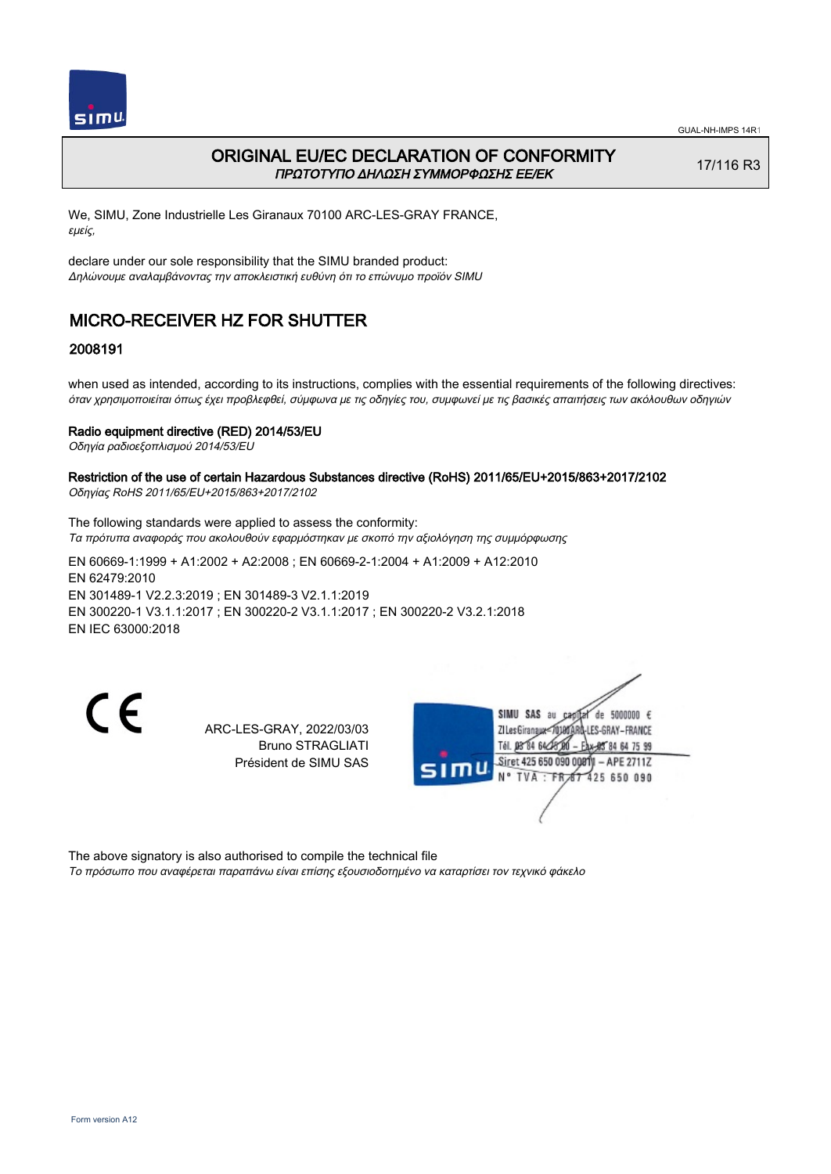

## ORIGINAL EU/EC DECLARATION OF CONFORMITY ΠΡΩΤΟΤΥΠΟ ΔΗΛΩΣΗ ΣΥΜΜΟΡΦΩΣΗΣ ΕΕ/EK

17/116 R3

We, SIMU, Zone Industrielle Les Giranaux 70100 ARC-LES-GRAY FRANCE, εμείς,

declare under our sole responsibility that the SIMU branded product: Δηλώνουμε αναλαμβάνοντας την αποκλειστική ευθύνη ότι το επώνυμο προϊόν SIMU

# MICRO-RECEIVER HZ FOR SHUTTER

### 2008191

when used as intended, according to its instructions, complies with the essential requirements of the following directives: όταν χρησιμοποιείται όπως έχει προβλεφθεί, σύμφωνα με τις οδηγίες του, συμφωνεί με τις βασικές απαιτήσεις των ακόλουθων οδηγιών

#### Radio equipment directive (RED) 2014/53/EU

Οδηγία ραδιοεξοπλισμού 2014/53/EU

#### Restriction of the use of certain Hazardous Substances directive (RoHS) 2011/65/EU+2015/863+2017/2102 Οδηγίας RoHS 2011/65/EU+2015/863+2017/2102

The following standards were applied to assess the conformity: Τα πρότυπα αναφοράς που ακολουθούν εφαρμόστηκαν με σκοπό την αξιολόγηση της συμμόρφωσης

EN 60669‑1:1999 + A1:2002 + A2:2008 ; EN 60669‑2‑1:2004 + A1:2009 + A12:2010 EN 62479:2010 EN 301489‑1 V2.2.3:2019 ; EN 301489‑3 V2.1.1:2019 EN 300220‑1 V3.1.1:2017 ; EN 300220‑2 V3.1.1:2017 ; EN 300220‑2 V3.2.1:2018 EN IEC 63000:2018

C E

ARC-LES-GRAY, 2022/03/03 Bruno STRAGLIATI Président de SIMU SAS



The above signatory is also authorised to compile the technical file

Το πρόσωπο που αναφέρεται παραπάνω είναι επίσης εξουσιοδοτημένο να καταρτίσει τον τεχνικό φάκελο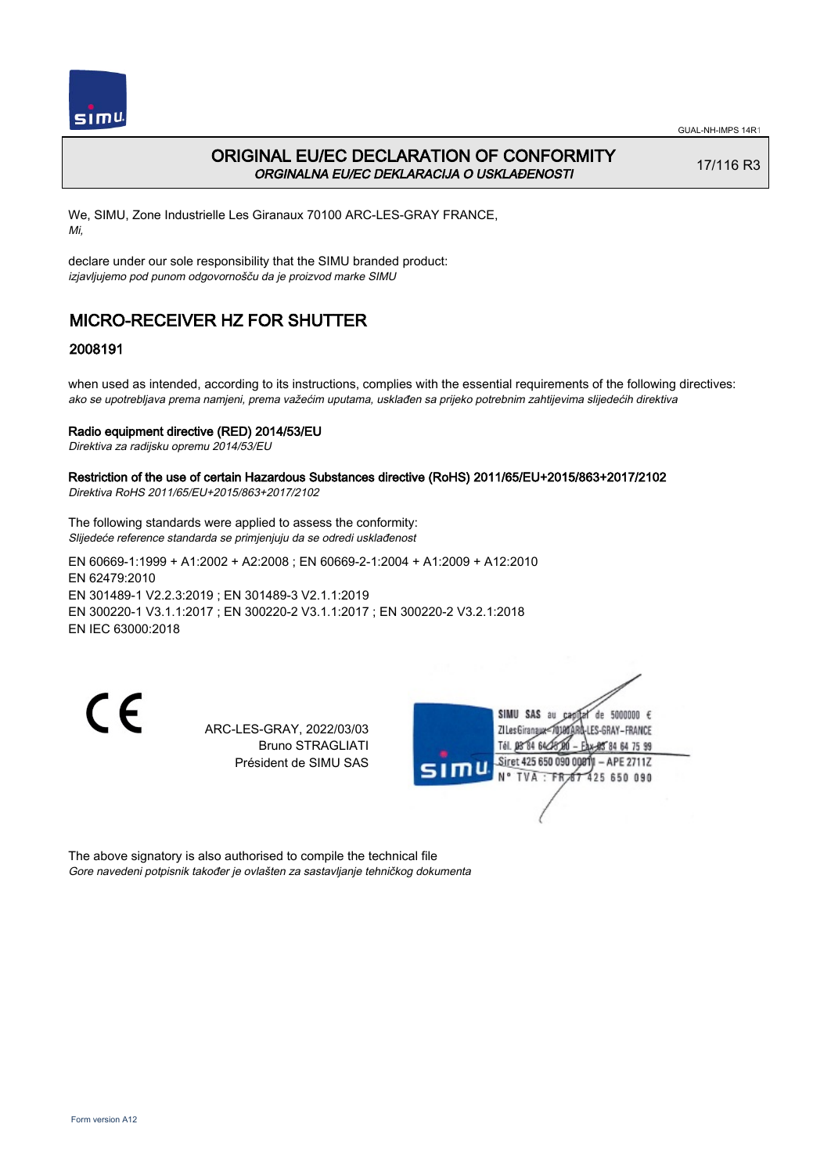

## ORIGINAL EU/EC DECLARATION OF CONFORMITY ORGINALNA EU/EC DEKLARACIJA O USKLAĐENOSTI

17/116 R3

We, SIMU, Zone Industrielle Les Giranaux 70100 ARC-LES-GRAY FRANCE, Mi,

declare under our sole responsibility that the SIMU branded product: izjavljujemo pod punom odgovornošču da je proizvod marke SIMU

# MICRO-RECEIVER HZ FOR SHUTTER

### 2008191

when used as intended, according to its instructions, complies with the essential requirements of the following directives: ako se upotrebljava prema namjeni, prema važećim uputama, usklađen sa prijeko potrebnim zahtijevima slijedećih direktiva

#### Radio equipment directive (RED) 2014/53/EU

Direktiva za radijsku opremu 2014/53/EU

#### Restriction of the use of certain Hazardous Substances directive (RoHS) 2011/65/EU+2015/863+2017/2102 Direktiva RoHS 2011/65/EU+2015/863+2017/2102

The following standards were applied to assess the conformity: Slijedeće reference standarda se primjenjuju da se odredi usklađenost

EN 60669‑1:1999 + A1:2002 + A2:2008 ; EN 60669‑2‑1:2004 + A1:2009 + A12:2010 EN 62479:2010 EN 301489‑1 V2.2.3:2019 ; EN 301489‑3 V2.1.1:2019 EN 300220‑1 V3.1.1:2017 ; EN 300220‑2 V3.1.1:2017 ; EN 300220‑2 V3.2.1:2018 EN IEC 63000:2018

 $\epsilon$ 

ARC-LES-GRAY, 2022/03/03 Bruno STRAGLIATI Président de SIMU SAS



The above signatory is also authorised to compile the technical file Gore navedeni potpisnik također je ovlašten za sastavljanje tehničkog dokumenta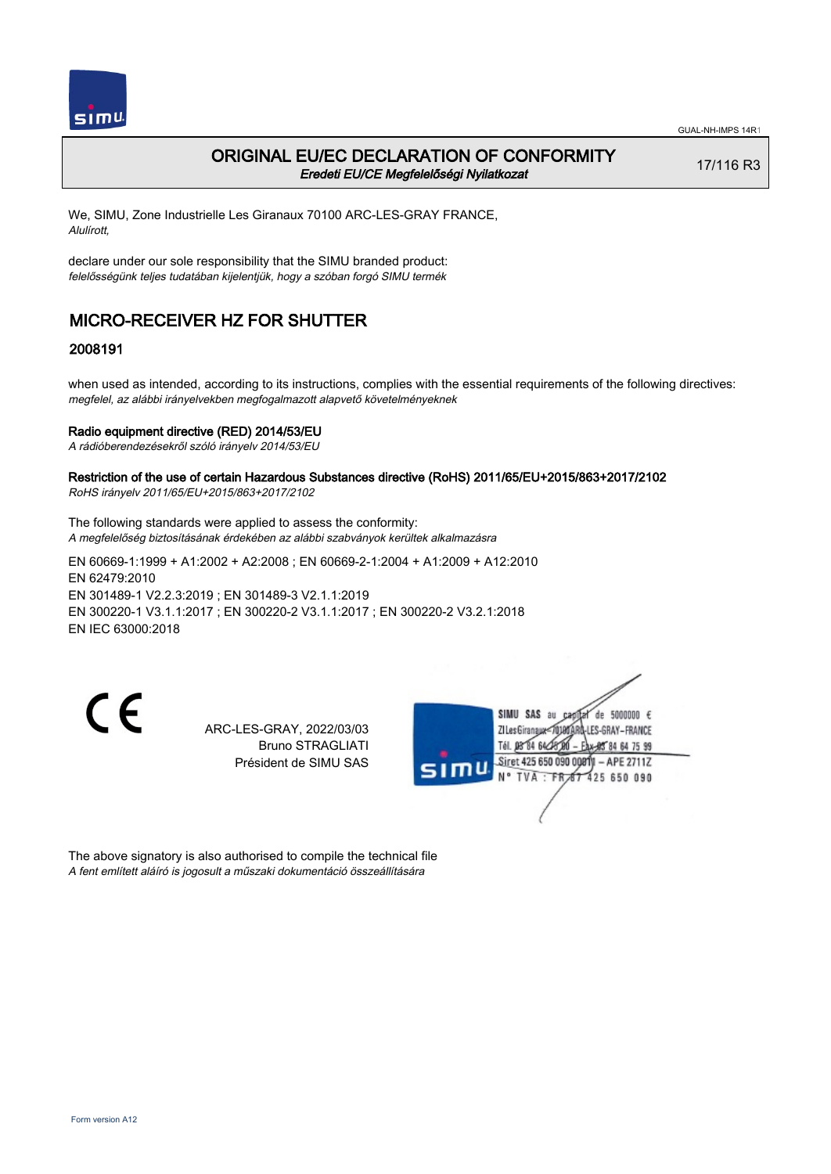

### ORIGINAL EU/EC DECLARATION OF CONFORMITY Eredeti EU/CE Megfelelőségi Nyilatkozat

17/116 R3

We, SIMU, Zone Industrielle Les Giranaux 70100 ARC-LES-GRAY FRANCE, Alulírott,

declare under our sole responsibility that the SIMU branded product: felelősségünk teljes tudatában kijelentjük, hogy a szóban forgó SIMU termék

# MICRO-RECEIVER HZ FOR SHUTTER

### 2008191

when used as intended, according to its instructions, complies with the essential requirements of the following directives: megfelel, az alábbi irányelvekben megfogalmazott alapvető követelményeknek

#### Radio equipment directive (RED) 2014/53/EU

A rádióberendezésekről szóló irányelv 2014/53/EU

#### Restriction of the use of certain Hazardous Substances directive (RoHS) 2011/65/EU+2015/863+2017/2102 RoHS irányelv 2011/65/EU+2015/863+2017/2102

The following standards were applied to assess the conformity: A megfelelőség biztosításának érdekében az alábbi szabványok kerültek alkalmazásra

EN 60669‑1:1999 + A1:2002 + A2:2008 ; EN 60669‑2‑1:2004 + A1:2009 + A12:2010 EN 62479:2010 EN 301489‑1 V2.2.3:2019 ; EN 301489‑3 V2.1.1:2019 EN 300220‑1 V3.1.1:2017 ; EN 300220‑2 V3.1.1:2017 ; EN 300220‑2 V3.2.1:2018 EN IEC 63000:2018

C E

ARC-LES-GRAY, 2022/03/03 Bruno STRAGLIATI Président de SIMU SAS



The above signatory is also authorised to compile the technical file A fent említett aláíró is jogosult a műszaki dokumentáció összeállítására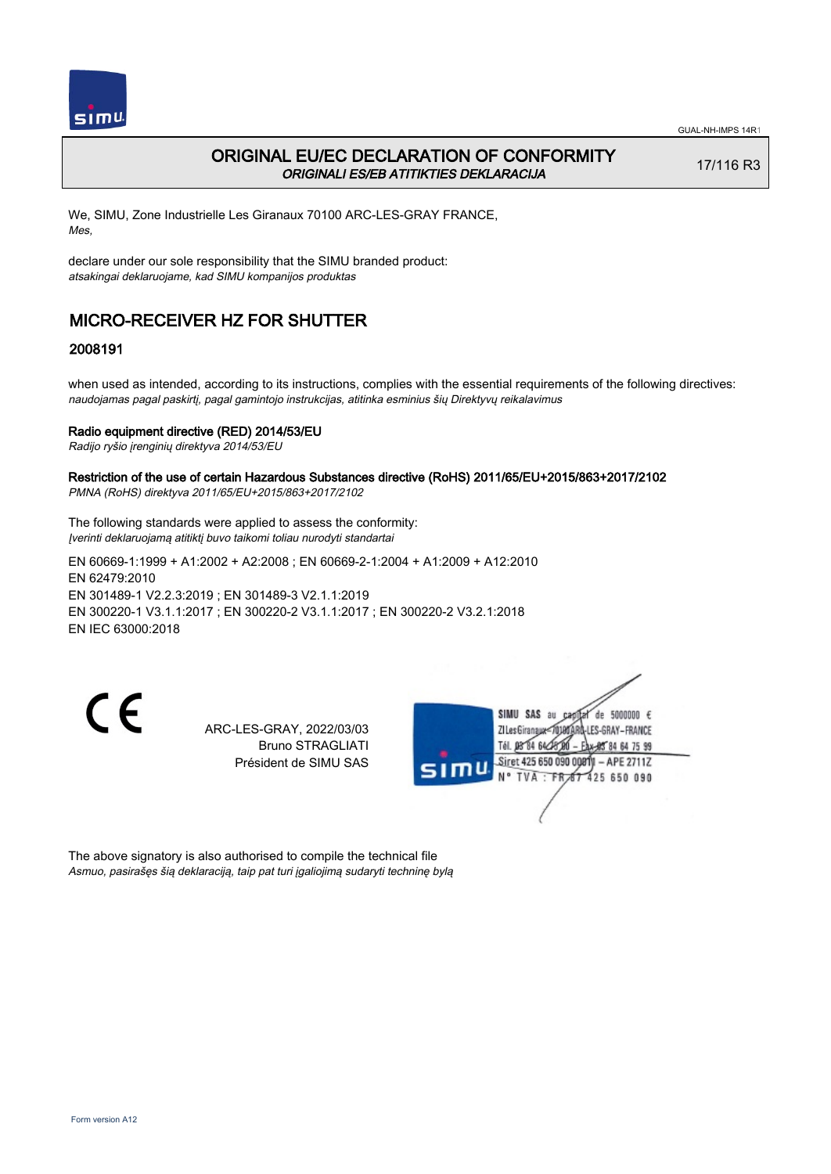

## ORIGINAL EU/EC DECLARATION OF CONFORMITY ORIGINALI ES/EB ATITIKTIES DEKLARACIJA

17/116 R3

We, SIMU, Zone Industrielle Les Giranaux 70100 ARC-LES-GRAY FRANCE, Mes,

declare under our sole responsibility that the SIMU branded product: atsakingai deklaruojame, kad SIMU kompanijos produktas

# MICRO-RECEIVER HZ FOR SHUTTER

### 2008191

when used as intended, according to its instructions, complies with the essential requirements of the following directives: naudojamas pagal paskirtį, pagal gamintojo instrukcijas, atitinka esminius šių Direktyvų reikalavimus

#### Radio equipment directive (RED) 2014/53/EU

Radijo ryšio įrenginių direktyva 2014/53/EU

#### Restriction of the use of certain Hazardous Substances directive (RoHS) 2011/65/EU+2015/863+2017/2102 PMNA (RoHS) direktyva 2011/65/EU+2015/863+2017/2102

The following standards were applied to assess the conformity: Įverinti deklaruojamą atitiktį buvo taikomi toliau nurodyti standartai

EN 60669‑1:1999 + A1:2002 + A2:2008 ; EN 60669‑2‑1:2004 + A1:2009 + A12:2010 EN 62479:2010 EN 301489‑1 V2.2.3:2019 ; EN 301489‑3 V2.1.1:2019 EN 300220‑1 V3.1.1:2017 ; EN 300220‑2 V3.1.1:2017 ; EN 300220‑2 V3.2.1:2018 EN IEC 63000:2018

 $\epsilon$ 

ARC-LES-GRAY, 2022/03/03 Bruno STRAGLIATI Président de SIMU SAS



The above signatory is also authorised to compile the technical file Asmuo, pasirašęs šią deklaraciją, taip pat turi įgaliojimą sudaryti techninę bylą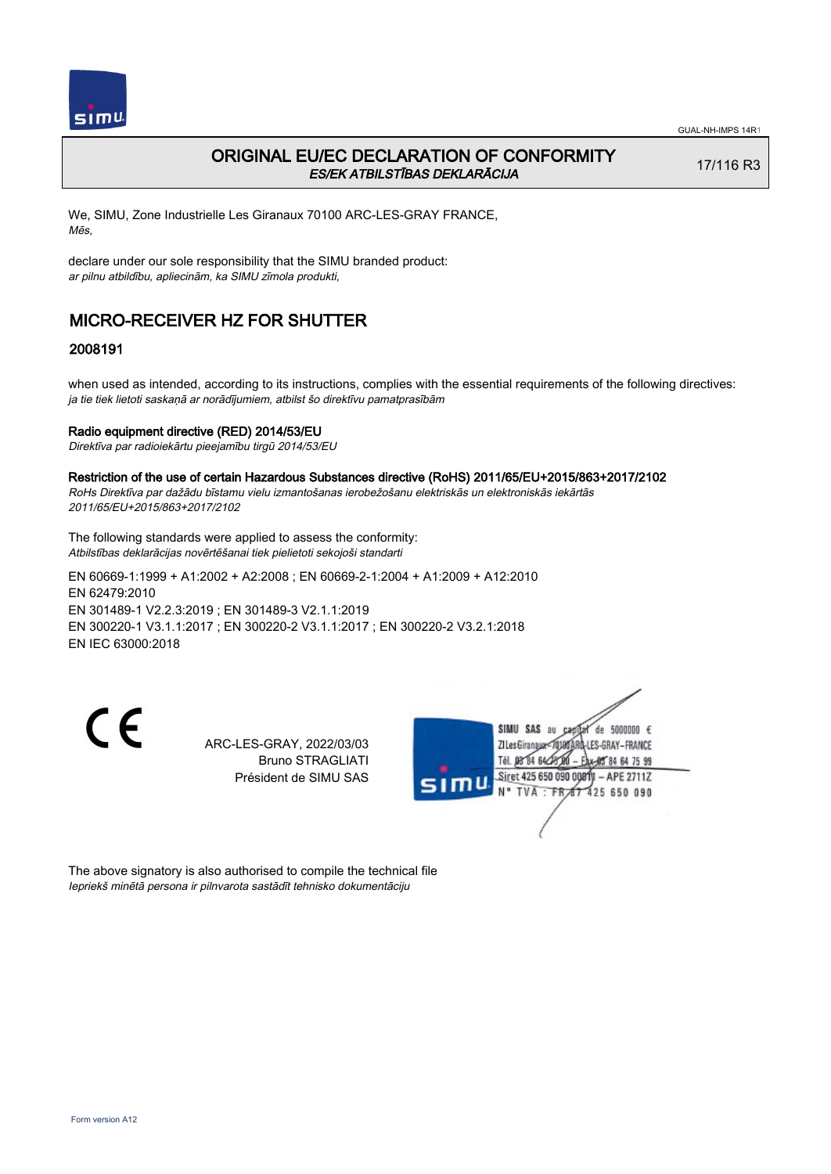

## ORIGINAL EU/EC DECLARATION OF CONFORMITY ES/EK ATBILSTĪBAS DEKLARĀCIJA

17/116 R3

We, SIMU, Zone Industrielle Les Giranaux 70100 ARC-LES-GRAY FRANCE, Mēs,

declare under our sole responsibility that the SIMU branded product: ar pilnu atbildību, apliecinām, ka SIMU zīmola produkti,

# MICRO-RECEIVER HZ FOR SHUTTER

### 2008191

when used as intended, according to its instructions, complies with the essential requirements of the following directives: ja tie tiek lietoti saskaņā ar norādījumiem, atbilst šo direktīvu pamatprasībām

#### Radio equipment directive (RED) 2014/53/EU

Direktīva par radioiekārtu pieejamību tirgū 2014/53/EU

Restriction of the use of certain Hazardous Substances directive (RoHS) 2011/65/EU+2015/863+2017/2102

RoHs Direktīva par dažādu bīstamu vielu izmantošanas ierobežošanu elektriskās un elektroniskās iekārtās 2011/65/EU+2015/863+2017/2102

The following standards were applied to assess the conformity: Atbilstības deklarācijas novērtēšanai tiek pielietoti sekojoši standarti

EN 60669‑1:1999 + A1:2002 + A2:2008 ; EN 60669‑2‑1:2004 + A1:2009 + A12:2010 EN 62479:2010 EN 301489‑1 V2.2.3:2019 ; EN 301489‑3 V2.1.1:2019 EN 300220‑1 V3.1.1:2017 ; EN 300220‑2 V3.1.1:2017 ; EN 300220‑2 V3.2.1:2018 EN IEC 63000:2018

CE

ARC-LES-GRAY, 2022/03/03 Bruno STRAGLIATI Président de SIMU SAS



The above signatory is also authorised to compile the technical file Iepriekš minētā persona ir pilnvarota sastādīt tehnisko dokumentāciju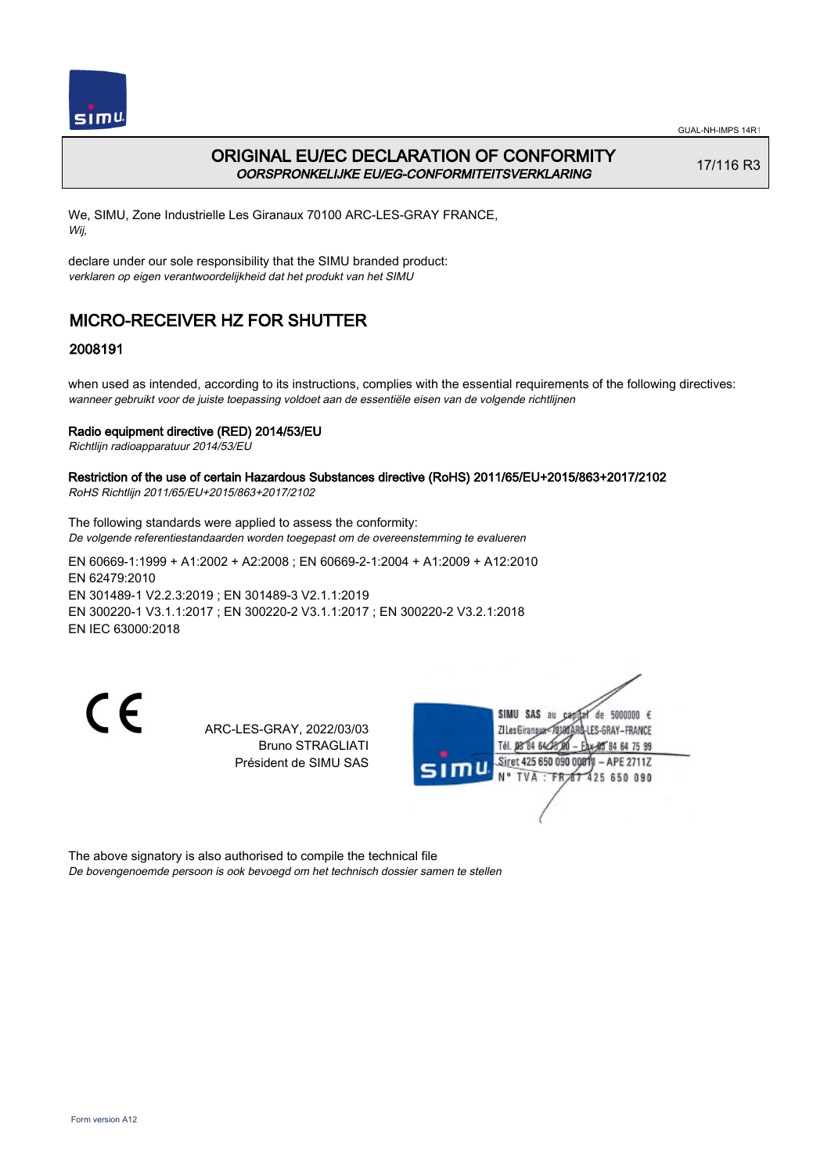

## ORIGINAL EU/EC DECLARATION OF CONFORMITY OORSPRONKELIJKE EU/EG-CONFORMITEITSVERKLARING

17/116 R3

We, SIMU, Zone Industrielle Les Giranaux 70100 ARC-LES-GRAY FRANCE, Wij,

declare under our sole responsibility that the SIMU branded product: verklaren op eigen verantwoordelijkheid dat het produkt van het SIMU

# MICRO-RECEIVER HZ FOR SHUTTER

## 2008191

when used as intended, according to its instructions, complies with the essential requirements of the following directives: wanneer gebruikt voor de juiste toepassing voldoet aan de essentiële eisen van de volgende richtlijnen

#### Radio equipment directive (RED) 2014/53/EU

Richtlijn radioapparatuur 2014/53/EU

#### Restriction of the use of certain Hazardous Substances directive (RoHS) 2011/65/EU+2015/863+2017/2102 RoHS Richtlijn 2011/65/EU+2015/863+2017/2102

The following standards were applied to assess the conformity: De volgende referentiestandaarden worden toegepast om de overeenstemming te evalueren

EN 60669‑1:1999 + A1:2002 + A2:2008 ; EN 60669‑2‑1:2004 + A1:2009 + A12:2010 EN 62479:2010 EN 301489‑1 V2.2.3:2019 ; EN 301489‑3 V2.1.1:2019 EN 300220‑1 V3.1.1:2017 ; EN 300220‑2 V3.1.1:2017 ; EN 300220‑2 V3.2.1:2018 EN IEC 63000:2018

 $\epsilon$ 

ARC-LES-GRAY, 2022/03/03 Bruno STRAGLIATI Président de SIMU SAS



The above signatory is also authorised to compile the technical file De bovengenoemde persoon is ook bevoegd om het technisch dossier samen te stellen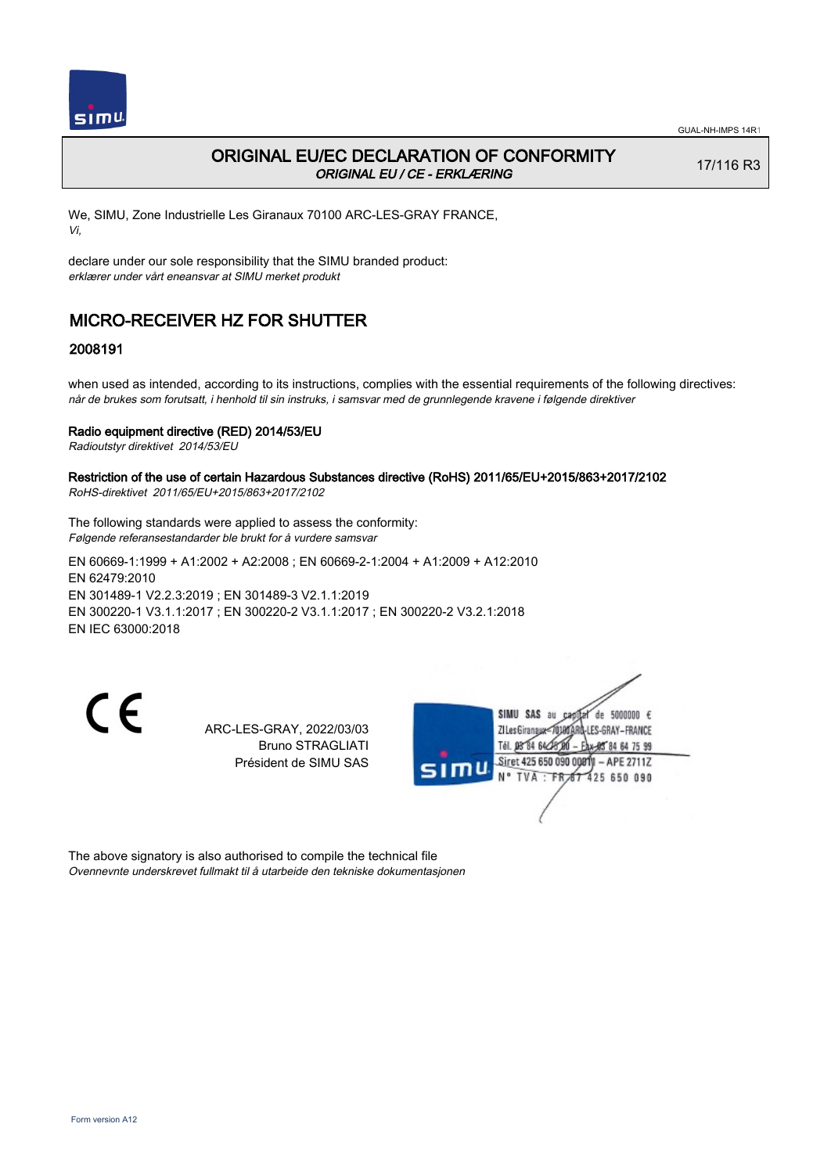

## ORIGINAL EU/EC DECLARATION OF CONFORMITY ORIGINAL EU / CE - ERKLÆRING

17/116 R3

We, SIMU, Zone Industrielle Les Giranaux 70100 ARC-LES-GRAY FRANCE, Vi,

declare under our sole responsibility that the SIMU branded product: erklærer under vårt eneansvar at SIMU merket produkt

# MICRO-RECEIVER HZ FOR SHUTTER

### 2008191

when used as intended, according to its instructions, complies with the essential requirements of the following directives: når de brukes som forutsatt, i henhold til sin instruks, i samsvar med de grunnlegende kravene i følgende direktiver

#### Radio equipment directive (RED) 2014/53/EU

Radioutstyr direktivet 2014/53/EU

#### Restriction of the use of certain Hazardous Substances directive (RoHS) 2011/65/EU+2015/863+2017/2102 RoHS-direktivet 2011/65/EU+2015/863+2017/2102

The following standards were applied to assess the conformity: Følgende referansestandarder ble brukt for å vurdere samsvar

EN 60669‑1:1999 + A1:2002 + A2:2008 ; EN 60669‑2‑1:2004 + A1:2009 + A12:2010 EN 62479:2010 EN 301489‑1 V2.2.3:2019 ; EN 301489‑3 V2.1.1:2019 EN 300220‑1 V3.1.1:2017 ; EN 300220‑2 V3.1.1:2017 ; EN 300220‑2 V3.2.1:2018 EN IEC 63000:2018

 $\epsilon$ 

ARC-LES-GRAY, 2022/03/03 Bruno STRAGLIATI Président de SIMU SAS



The above signatory is also authorised to compile the technical file Ovennevnte underskrevet fullmakt til å utarbeide den tekniske dokumentasjonen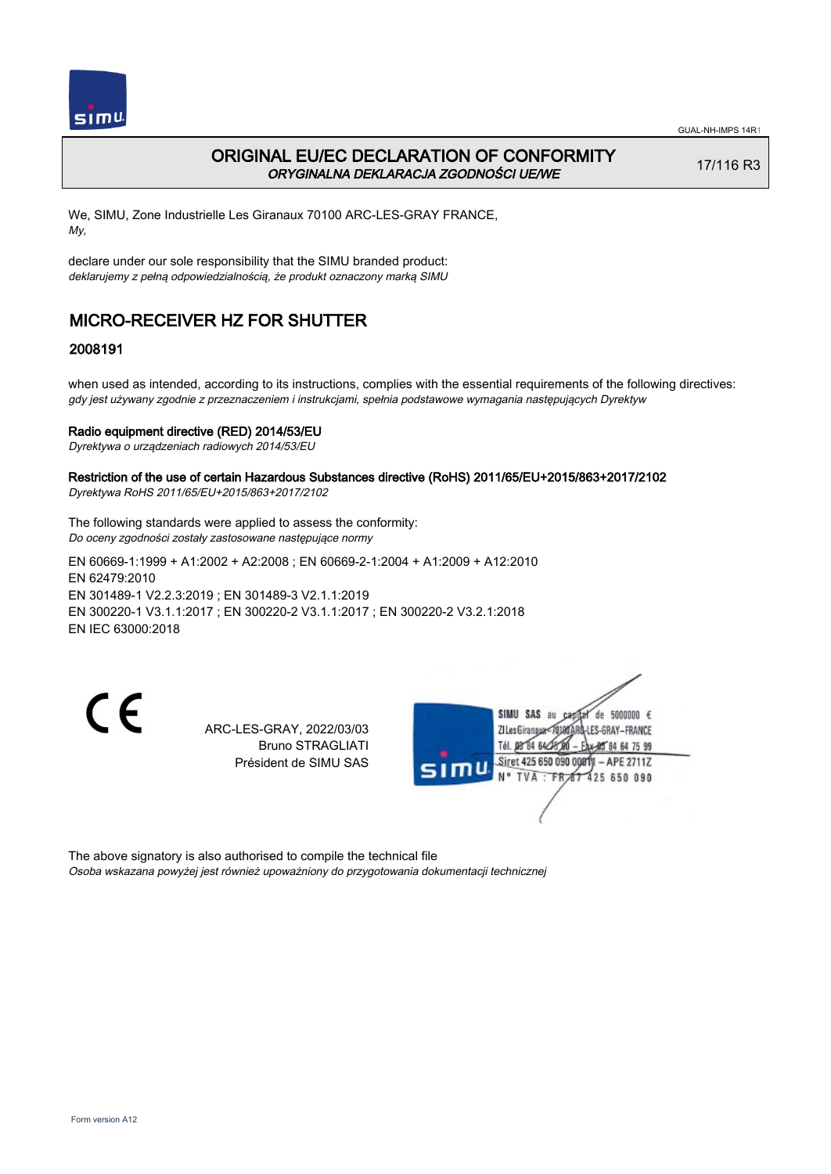

## ORIGINAL EU/EC DECLARATION OF CONFORMITY ORYGINALNA DEKLARACJA ZGODNOŚCI UE/WE

17/116 R3

We, SIMU, Zone Industrielle Les Giranaux 70100 ARC-LES-GRAY FRANCE, My,

declare under our sole responsibility that the SIMU branded product: deklarujemy z pełną odpowiedzialnością, że produkt oznaczony marką SIMU

# MICRO-RECEIVER HZ FOR SHUTTER

### 2008191

when used as intended, according to its instructions, complies with the essential requirements of the following directives: gdy jest używany zgodnie z przeznaczeniem i instrukcjami, spełnia podstawowe wymagania następujących Dyrektyw

#### Radio equipment directive (RED) 2014/53/EU

Dyrektywa o urządzeniach radiowych 2014/53/EU

#### Restriction of the use of certain Hazardous Substances directive (RoHS) 2011/65/EU+2015/863+2017/2102 Dyrektywa RoHS 2011/65/EU+2015/863+2017/2102

The following standards were applied to assess the conformity:

Do oceny zgodności zostały zastosowane następujące normy

EN 60669‑1:1999 + A1:2002 + A2:2008 ; EN 60669‑2‑1:2004 + A1:2009 + A12:2010 EN 62479:2010 EN 301489‑1 V2.2.3:2019 ; EN 301489‑3 V2.1.1:2019 EN 300220‑1 V3.1.1:2017 ; EN 300220‑2 V3.1.1:2017 ; EN 300220‑2 V3.2.1:2018 EN IEC 63000:2018

C E

ARC-LES-GRAY, 2022/03/03 Bruno STRAGLIATI Président de SIMU SAS



The above signatory is also authorised to compile the technical file Osoba wskazana powyżej jest również upoważniony do przygotowania dokumentacji technicznej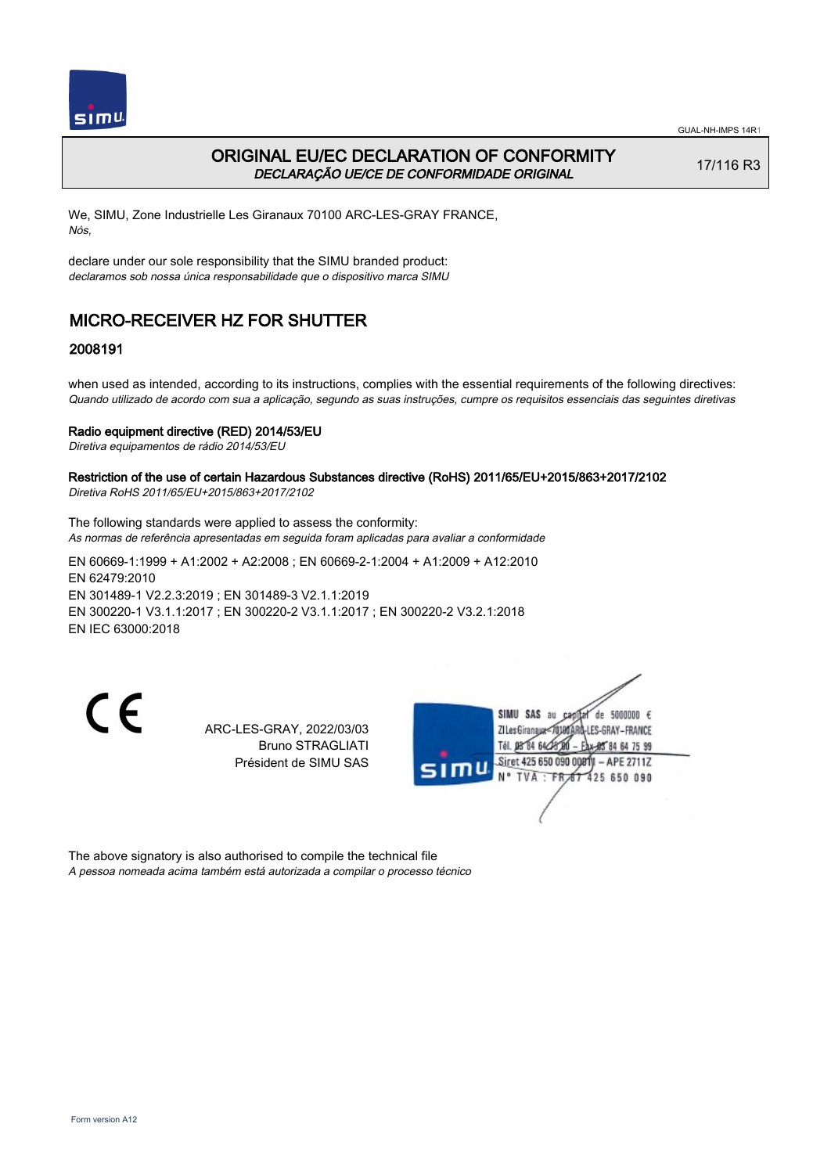

## ORIGINAL EU/EC DECLARATION OF CONFORMITY DECLARAÇÃO UE/CE DE CONFORMIDADE ORIGINAL

17/116 R3

We, SIMU, Zone Industrielle Les Giranaux 70100 ARC-LES-GRAY FRANCE, Nós,

declare under our sole responsibility that the SIMU branded product: declaramos sob nossa única responsabilidade que o dispositivo marca SIMU

# MICRO-RECEIVER HZ FOR SHUTTER

### 2008191

when used as intended, according to its instructions, complies with the essential requirements of the following directives: Quando utilizado de acordo com sua a aplicação, segundo as suas instruções, cumpre os requisitos essenciais das seguintes diretivas

#### Radio equipment directive (RED) 2014/53/EU

Diretiva equipamentos de rádio 2014/53/EU

#### Restriction of the use of certain Hazardous Substances directive (RoHS) 2011/65/EU+2015/863+2017/2102 Diretiva RoHS 2011/65/EU+2015/863+2017/2102

The following standards were applied to assess the conformity:

As normas de referência apresentadas em seguida foram aplicadas para avaliar a conformidade

EN 60669‑1:1999 + A1:2002 + A2:2008 ; EN 60669‑2‑1:2004 + A1:2009 + A12:2010 EN 62479:2010 EN 301489‑1 V2.2.3:2019 ; EN 301489‑3 V2.1.1:2019 EN 300220‑1 V3.1.1:2017 ; EN 300220‑2 V3.1.1:2017 ; EN 300220‑2 V3.2.1:2018 EN IEC 63000:2018

 $\epsilon$ 

ARC-LES-GRAY, 2022/03/03 Bruno STRAGLIATI Président de SIMU SAS



The above signatory is also authorised to compile the technical file A pessoa nomeada acima também está autorizada a compilar o processo técnico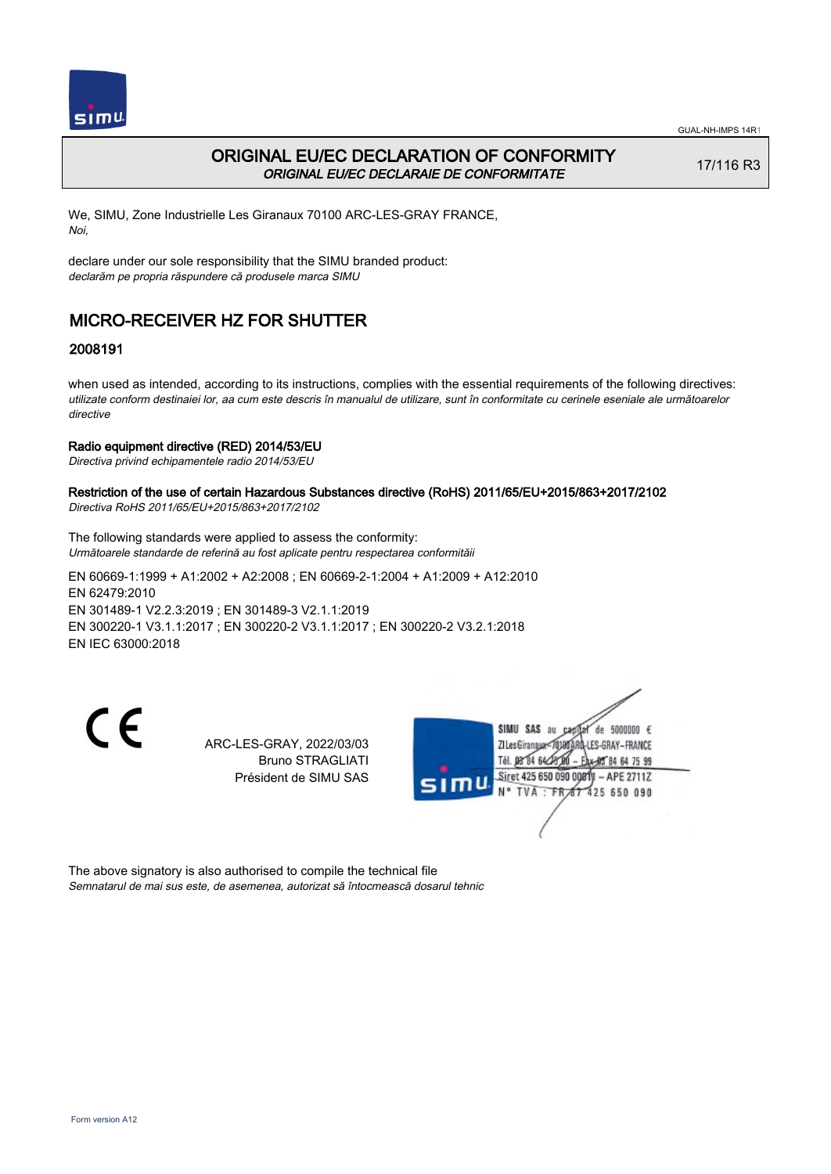

## ORIGINAL EU/EC DECLARATION OF CONFORMITY ORIGINAL EU/EC DECLARAIE DE CONFORMITATE

17/116 R3

We, SIMU, Zone Industrielle Les Giranaux 70100 ARC-LES-GRAY FRANCE, Noi,

declare under our sole responsibility that the SIMU branded product: declarăm pe propria răspundere că produsele marca SIMU

# MICRO-RECEIVER HZ FOR SHUTTER

### 2008191

when used as intended, according to its instructions, complies with the essential requirements of the following directives: utilizate conform destinaiei lor, aa cum este descris în manualul de utilizare, sunt în conformitate cu cerinele eseniale ale următoarelor directive

#### Radio equipment directive (RED) 2014/53/EU

Directiva privind echipamentele radio 2014/53/EU

## Restriction of the use of certain Hazardous Substances directive (RoHS) 2011/65/EU+2015/863+2017/2102

Directiva RoHS 2011/65/EU+2015/863+2017/2102

The following standards were applied to assess the conformity: Următoarele standarde de referină au fost aplicate pentru respectarea conformităii

EN 60669‑1:1999 + A1:2002 + A2:2008 ; EN 60669‑2‑1:2004 + A1:2009 + A12:2010 EN 62479:2010 EN 301489‑1 V2.2.3:2019 ; EN 301489‑3 V2.1.1:2019 EN 300220‑1 V3.1.1:2017 ; EN 300220‑2 V3.1.1:2017 ; EN 300220‑2 V3.2.1:2018 EN IEC 63000:2018

CE

ARC-LES-GRAY, 2022/03/03 Bruno STRAGLIATI Président de SIMU SAS



The above signatory is also authorised to compile the technical file Semnatarul de mai sus este, de asemenea, autorizat să întocmească dosarul tehnic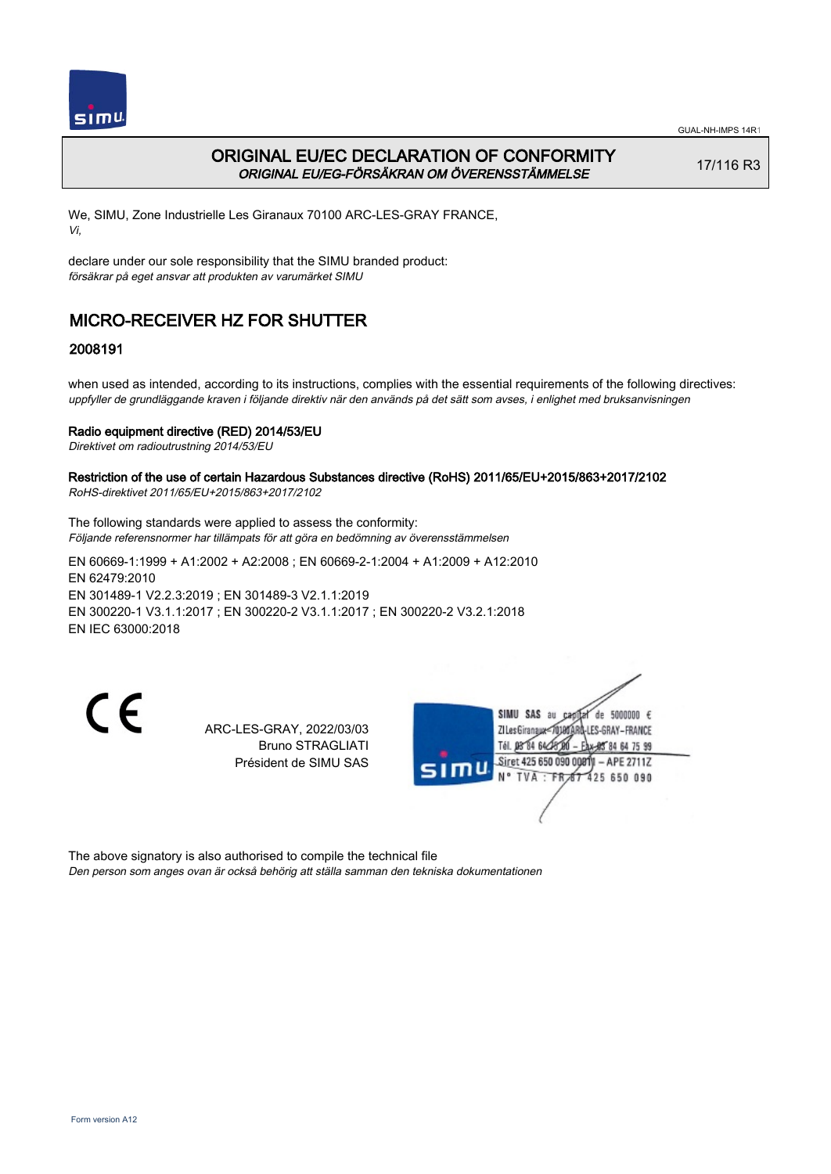

## ORIGINAL EU/EC DECLARATION OF CONFORMITY ORIGINAL EU/EG-FÖRSÄKRAN OM ÖVERENSSTÄMMELSE

17/116 R3

We, SIMU, Zone Industrielle Les Giranaux 70100 ARC-LES-GRAY FRANCE, Vi,

declare under our sole responsibility that the SIMU branded product: försäkrar på eget ansvar att produkten av varumärket SIMU

# MICRO-RECEIVER HZ FOR SHUTTER

## 2008191

when used as intended, according to its instructions, complies with the essential requirements of the following directives: uppfyller de grundläggande kraven i följande direktiv när den används på det sätt som avses, i enlighet med bruksanvisningen

#### Radio equipment directive (RED) 2014/53/EU

Direktivet om radioutrustning 2014/53/EU

#### Restriction of the use of certain Hazardous Substances directive (RoHS) 2011/65/EU+2015/863+2017/2102 RoHS-direktivet 2011/65/EU+2015/863+2017/2102

The following standards were applied to assess the conformity: Följande referensnormer har tillämpats för att göra en bedömning av överensstämmelsen

EN 60669‑1:1999 + A1:2002 + A2:2008 ; EN 60669‑2‑1:2004 + A1:2009 + A12:2010 EN 62479:2010 EN 301489‑1 V2.2.3:2019 ; EN 301489‑3 V2.1.1:2019 EN 300220‑1 V3.1.1:2017 ; EN 300220‑2 V3.1.1:2017 ; EN 300220‑2 V3.2.1:2018 EN IEC 63000:2018

 $\epsilon$ 

ARC-LES-GRAY, 2022/03/03 Bruno STRAGLIATI Président de SIMU SAS



The above signatory is also authorised to compile the technical file Den person som anges ovan är också behörig att ställa samman den tekniska dokumentationen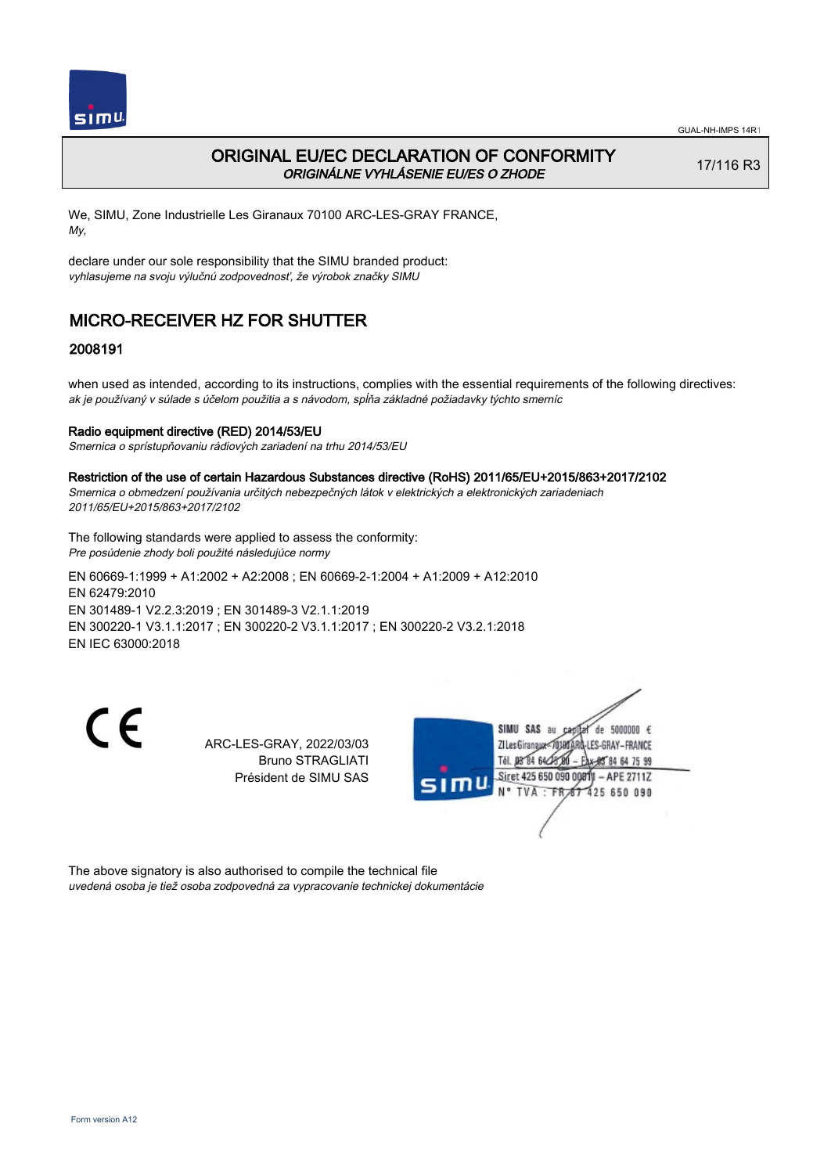

## ORIGINAL EU/EC DECLARATION OF CONFORMITY ORIGINÁLNE VYHLÁSENIE EU/ES O ZHODE

17/116 R3

We, SIMU, Zone Industrielle Les Giranaux 70100 ARC-LES-GRAY FRANCE, My,

declare under our sole responsibility that the SIMU branded product: vyhlasujeme na svoju výlučnú zodpovednosť, že výrobok značky SIMU

# MICRO-RECEIVER HZ FOR SHUTTER

### 2008191

when used as intended, according to its instructions, complies with the essential requirements of the following directives: ak je používaný v súlade s účelom použitia a s návodom, spĺňa základné požiadavky týchto smerníc

#### Radio equipment directive (RED) 2014/53/EU

Smernica o sprístupňovaniu rádiových zariadení na trhu 2014/53/EU

#### Restriction of the use of certain Hazardous Substances directive (RoHS) 2011/65/EU+2015/863+2017/2102

Smernica o obmedzení používania určitých nebezpečných látok v elektrických a elektronických zariadeniach 2011/65/EU+2015/863+2017/2102

The following standards were applied to assess the conformity: Pre posúdenie zhody boli použité následujúce normy

EN 60669‑1:1999 + A1:2002 + A2:2008 ; EN 60669‑2‑1:2004 + A1:2009 + A12:2010 EN 62479:2010 EN 301489‑1 V2.2.3:2019 ; EN 301489‑3 V2.1.1:2019 EN 300220‑1 V3.1.1:2017 ; EN 300220‑2 V3.1.1:2017 ; EN 300220‑2 V3.2.1:2018 EN IEC 63000:2018

 $\epsilon$ 

ARC-LES-GRAY, 2022/03/03 Bruno STRAGLIATI Président de SIMU SAS



The above signatory is also authorised to compile the technical file uvedená osoba je tiež osoba zodpovedná za vypracovanie technickej dokumentácie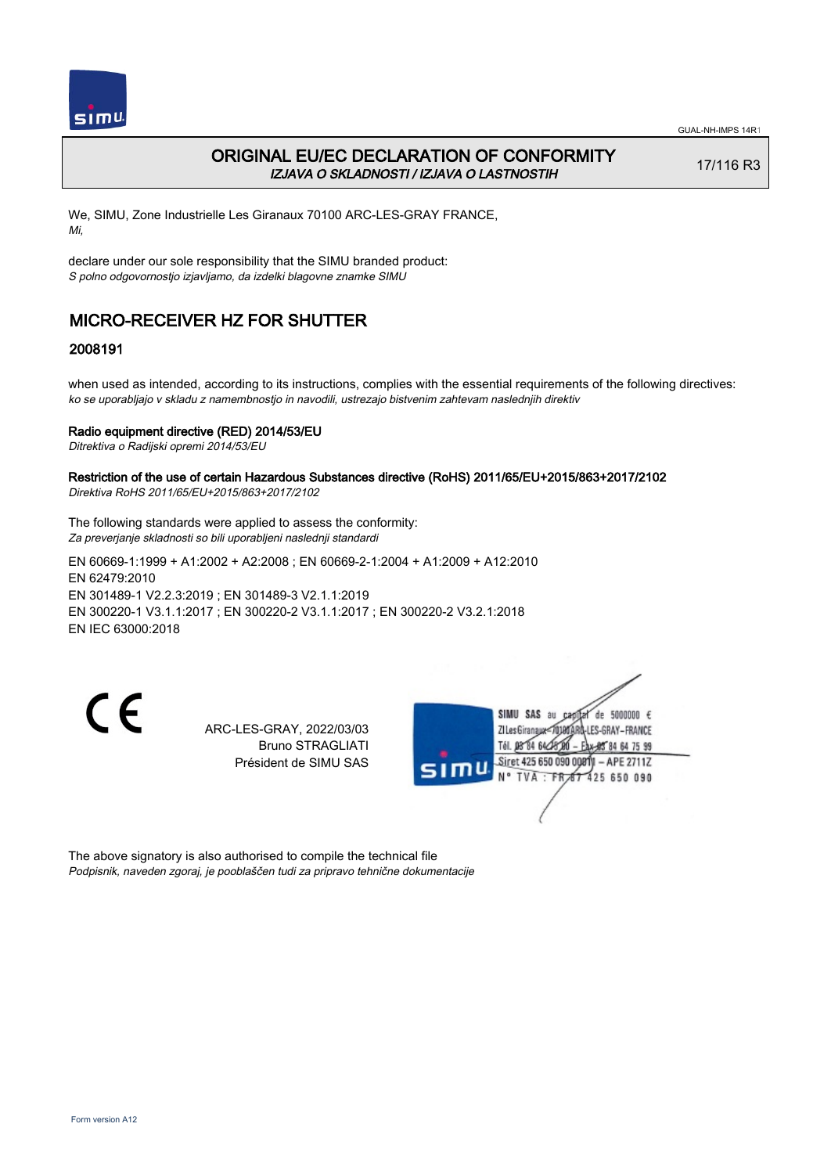

## ORIGINAL EU/EC DECLARATION OF CONFORMITY IZJAVA O SKLADNOSTI / IZJAVA O LASTNOSTIH

17/116 R3

We, SIMU, Zone Industrielle Les Giranaux 70100 ARC-LES-GRAY FRANCE, Mi,

declare under our sole responsibility that the SIMU branded product: S polno odgovornostjo izjavljamo, da izdelki blagovne znamke SIMU

# MICRO-RECEIVER HZ FOR SHUTTER

### 2008191

when used as intended, according to its instructions, complies with the essential requirements of the following directives: ko se uporabljajo v skladu z namembnostjo in navodili, ustrezajo bistvenim zahtevam naslednjih direktiv

#### Radio equipment directive (RED) 2014/53/EU

Ditrektiva o Radijski opremi 2014/53/EU

#### Restriction of the use of certain Hazardous Substances directive (RoHS) 2011/65/EU+2015/863+2017/2102 Direktiva RoHS 2011/65/EU+2015/863+2017/2102

The following standards were applied to assess the conformity: Za preverjanje skladnosti so bili uporabljeni naslednji standardi

EN 60669‑1:1999 + A1:2002 + A2:2008 ; EN 60669‑2‑1:2004 + A1:2009 + A12:2010 EN 62479:2010 EN 301489‑1 V2.2.3:2019 ; EN 301489‑3 V2.1.1:2019 EN 300220‑1 V3.1.1:2017 ; EN 300220‑2 V3.1.1:2017 ; EN 300220‑2 V3.2.1:2018 EN IEC 63000:2018

 $\epsilon$ 

ARC-LES-GRAY, 2022/03/03 Bruno STRAGLIATI Président de SIMU SAS



The above signatory is also authorised to compile the technical file Podpisnik, naveden zgoraj, je pooblaščen tudi za pripravo tehnične dokumentacije